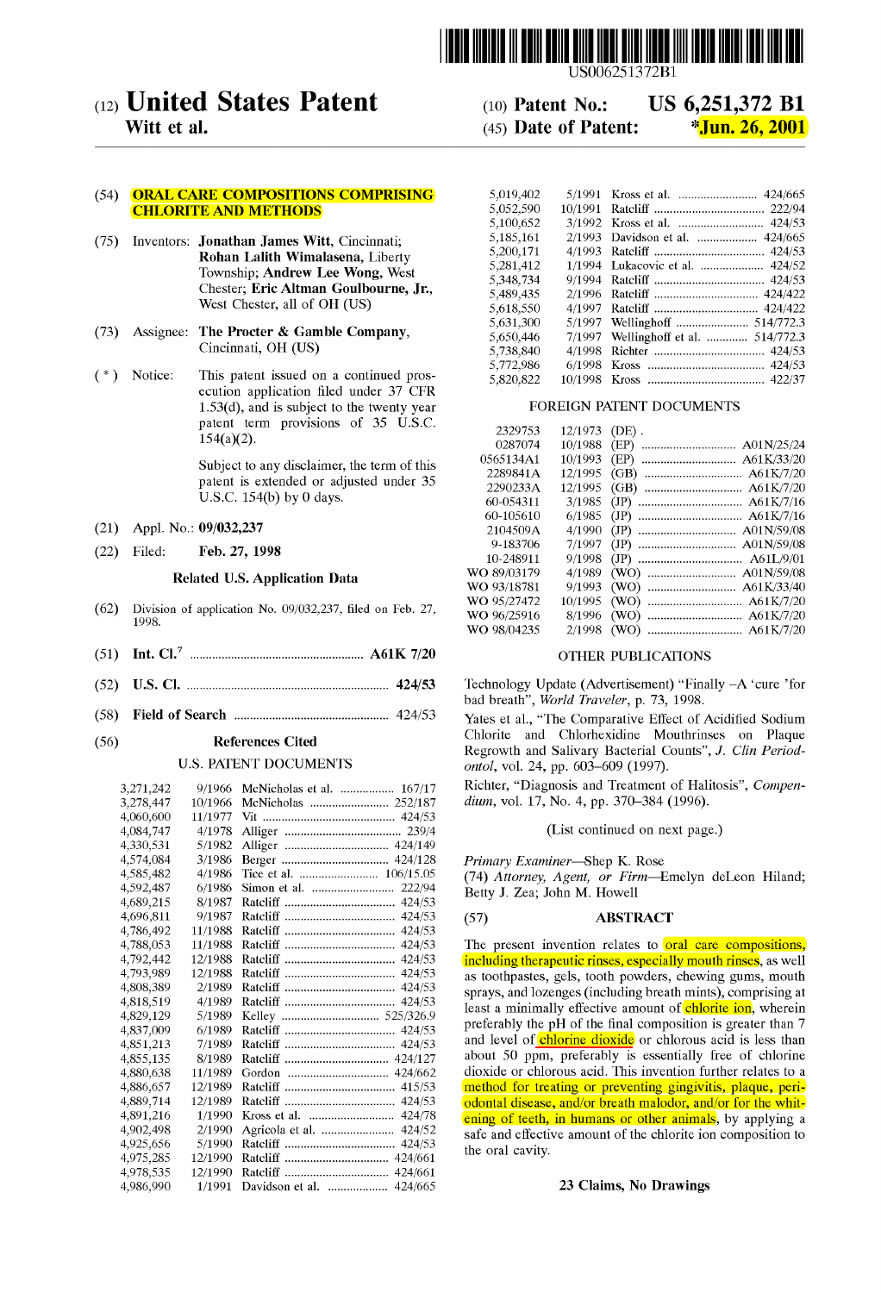

# (12) **United States Patent**

Witt et al.

## (54) ORAL CARE COMPOSITIONS COMPRISING CHLORITE AND METHODS

- (75) Inventors: Jonathan James Witt, Cincinnati; Rohan Lalith Wimalasena, Liberty Township; Andrew Lee Wong, West Chester; Eric AItman Goulbourne, Jr., West Chester, all of OH (US)
- (73) Assignee: The Procter & Gamble Company, Cincinnati, OH (US)
- ( \*) Notice: This patent issued on a continued prosecution application filed under 37 CFR  $1.53(d)$ , and is subject to the twenty year patent term provisions of 35 U.S.C. 154(a)(2).

Subject to any disclaimer, the term of this patent is extended or adjusted under 35 U.S.C.  $154(b)$  by 0 days.

- (21) Appl. No.: 09/032,237
- (22) Filed: Feb. 27, 1998

## Related U.S. Application Data

- (62) Division of application No. 09/032,237, filed on Feb. 27, 1998.
- (51) Int. CI? ....................................................... A61K 7/20
- (52) U.S. CI. ................................................................ 424/53
- (58) Field of Search ................................................. *424/53*

## (56) References Cited

## U.S. PATENT DOCUMENTS

| 3,271,242 | 9/1966  | McNicholas et al.  167/17  |
|-----------|---------|----------------------------|
| 3,278,447 | 10/1966 | McNicholas  252/187        |
| 4,060,600 | 11/1977 |                            |
| 4,084,747 | 4/1978  |                            |
| 4,330,531 | 5/1982  |                            |
| 4,574,084 | 3/1986  |                            |
| 4,585,482 | 4/1986  | Tice et al.  106/15.05     |
| 4,592,487 | 6/1986  | 222/94                     |
| 4,689,215 | 8/1987  | 424/53                     |
| 4,696,811 | 9/1987  | 424/53                     |
| 4,786,492 | 11/1988 | 424/53                     |
| 4.788,053 | 11/1988 | 424/53                     |
| 4,792,442 | 12/1988 | 424/53                     |
| 4.793.989 | 12/1988 | 424/53                     |
| 4,808,389 | 2/1989  | 424/53                     |
| 4,818,519 | 4/1989  | 424/53                     |
| 4,829,129 | 5/1989  |                            |
| 4,837,009 | 6/1989  | 424/53                     |
| 4,851,213 | 7/1989  | 424/53                     |
| 4,855,135 | 8/1989  | 424/127                    |
| 4,880,638 | 11/1989 |                            |
| 4,886,657 | 12/1989 | 415/53                     |
| 4,889,714 | 12/1989 | 424/53                     |
| 4,891,216 | 1/1990  | 424/78                     |
| 4,902,498 | 2/1990  | 424/52                     |
| 4,925,656 | 5/1990  | 424/53                     |
| 4,975,285 | 12/1990 | 424/661                    |
| 4,978,535 | 12/1990 | 424/661                    |
| 4.986.990 | 1/1991  | Davidson et al.<br>424/665 |

## (10) Patent No.: US 6,251,372 **B1**  (45) Date of Patent:  $\sqrt[3]{\text{Jun. } 26,2001}$

| 5,019,402 |         |                                 |
|-----------|---------|---------------------------------|
| 5,052,590 | 10/1991 |                                 |
| 5,100,652 | 3/1992  | 424/53                          |
| 5,185,161 | 2/1993  | Davidson et al.<br>424/665      |
| 5.200.171 | 4/1993  |                                 |
| 5,281,412 | 1/1994  | Lukacovic et al.  424/52        |
| 5,348,734 | 9/1994  |                                 |
| 5,489,435 | 2/1996  | 424/422                         |
| 5.618.550 | 4/1997  | 424/422                         |
| 5,631,300 | 5/1997  | Wellinghoff  514/772.3          |
| 5,650,446 | 7/1997  | 514/772.3<br>Wellinghoff et al. |
| 5.738,840 | 4/1998  |                                 |
| 5,772,986 | 6/1998  |                                 |
| 5,820,822 | 10/1998 |                                 |

## FOREIGN PATENT DOCUMENTS

| 2329753     | 12/1973 | (DE).                  |
|-------------|---------|------------------------|
| 0287074     | 10/1988 | A01N/25/24<br>(EP)<br> |
| 0565134A1   | 10/1993 | A61K/33/20<br>(EP)     |
| 2289841A    | 12/1995 | A61K/7/20<br>(GB)<br>  |
| 2290233A    | 12/1995 | A61K/7/20<br>(GB)      |
| 60-054311   | 3/1985  | (JP)                   |
| 60-105610   | 6/1985  | (JP)                   |
| 2104509A    | 4/1990  | A01N/59/08<br>(JP)     |
| 9-183706    | 7/1997  | A01N/59/08<br>(JP)     |
| 10-248911   | 9/1998  | (JP)                   |
| WO 89/03179 | 4/1989  | A01N/59/08<br>(WO)     |
| WO 93/18781 | 9/1993  | A61K/33/40<br>(WO)     |
| WO 95/27472 | 10/1995 | (WO)                   |
| WO 96/25916 | 8/1996  | (WO)                   |
| WO 98/04235 | 2/1998  | (WO)                   |
|             |         |                        |

## OTHER PUBLICATIONS

Technology Update (Advertisement) "Finally -A 'cure 'for bad breath", *Warld Traveler,* p. 73, 1998.

Yates et al., "The Comparative Effect of Acidified Sodium Chlorite and Chlorhexidine Mouthrinses on Plaque Regrowth and Salivary Bacterial Counts", J. *Clin Periadantal,* vol. 24, pp. 603-609 (1997).

Richter, "Diagnosis and Treatment of Halitosis", *Campendium,* vol. 17, No. 4, pp. 370-384 (1996).

(List continued on next page.)

Primary *Examiner*—Shep K. Rose

*(74) Attarney, Agent, ar Firm-Emelyn* deLeon Hiland; Betty J. Zea; John M. Howell

#### (57) ABSTRACT

The present invention relates to oral care compositions, including therapeutic rinses, especially mouth rinses, as well as toothpastes, gels, tooth powders, chewing gums, mouth sprays, and lozenges (including breath mints), comprising at least a minimally effective amount of chlorite ion, wherein preferably the pH of the final composition is greater than 7 and level of **chlorine dioxide** or chlorous acid is less than about 50 ppm, preferably is essentially free of chlorine dioxide or chlorous acid. This invention further relates to a method for treating or preventing gingivitis, plaque, periodontal disease, and/or breath malodor, and/or for the whitening of teeth, in humans or other animals, by applying a safe and effective amount of the chlorite ion composition to the oral cavity.

## 23 Claims, No Drawings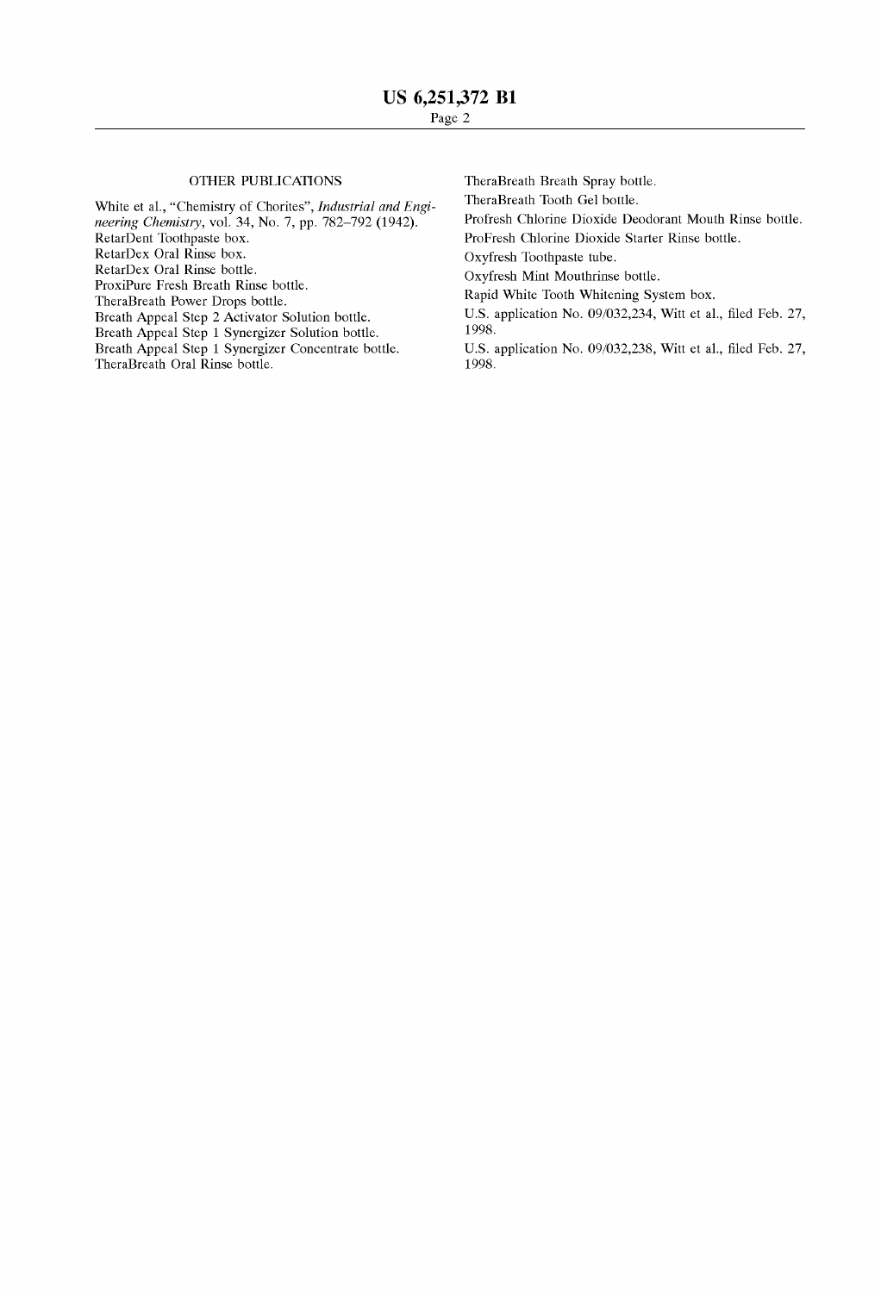## 01HER PUBLICATIONS

White et al., "Chemistry of Chorites", *Industrial and Engineering Chemistry,* vol. 34, No. 7, pp. 782-792 (1942). RetarDent Toothpaste box. RetarDex Oral Rinse box. RetarDex Oral Rinse bottle. ProxiPure Fresh Breath Rinse bottle. TheraBreath Power Drops bottle. Breath Appeal Step 2 Activator Solution bottle. Breath Appeal Step 1 Synergizer Solution bottle. Breath Appeal Step 1 Synergizer Concentrate bottle. TheraBreath Oral Rinse bottle.

TheraBreath Breath Spray bottle.

TheraBreath Tooth Gel bottle.

Profresh Chlorine Dioxide Deodorant Mouth Rinse bottle.

ProFresh Chlorine Dioxide Starter Rinse bottle.

Oxyfresh Toothpaste tube.

Oxyfresh Mint Mouthrinse bottle.

Rapid White Tooth Whitening System box.

U.S. application No. 09/032,234, Witt et al., filed Feb. 27, 1998.

U.S. application No. 09/032,238, Witt et al., filed Feb. 27, 1998.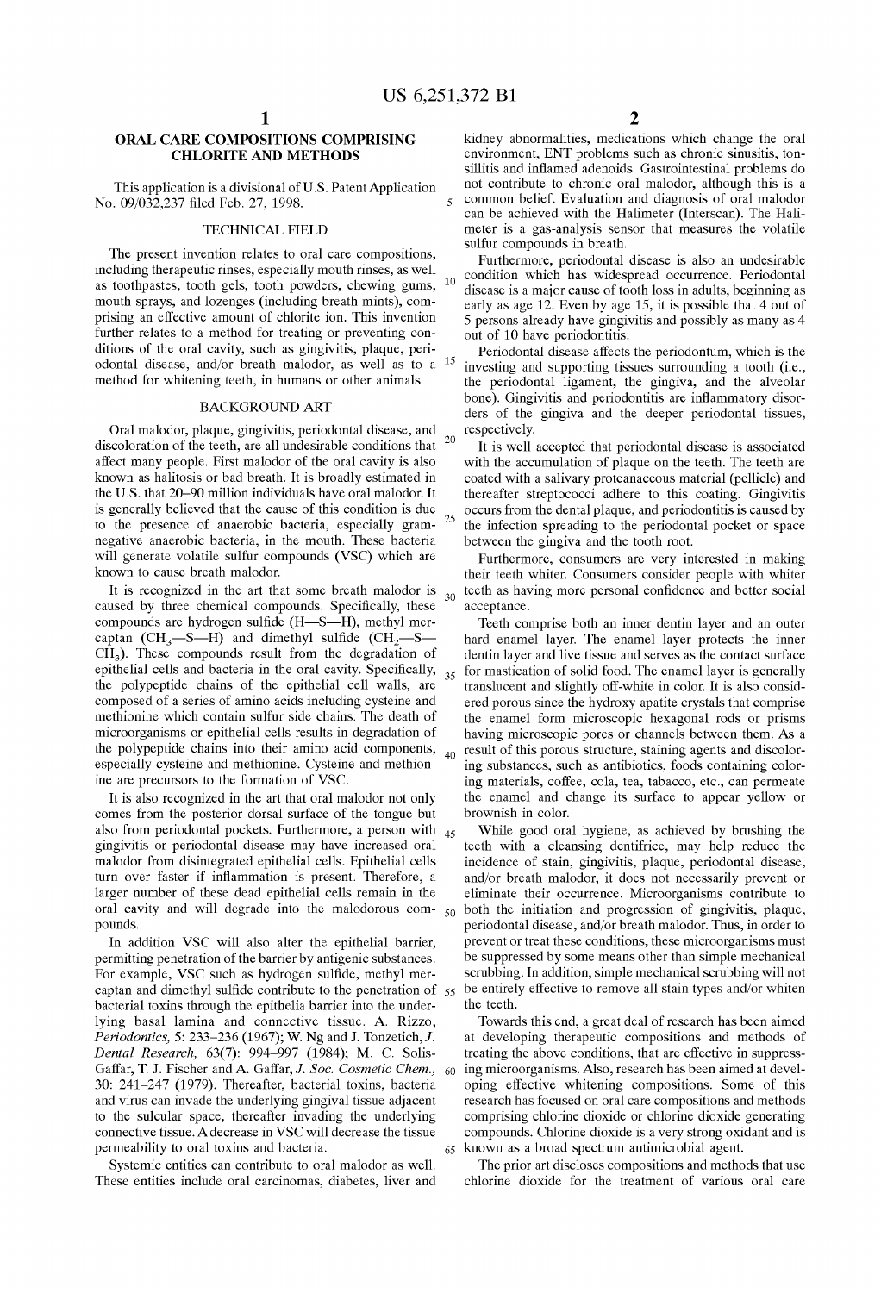## **ORAL CARE COMPOSITIONS COMPRISING CHLORITE AND METHODS**

This application is a divisional of U .S. Patent Application No. 09/032,237 filed Feb. 27, 1998.

## TECHNICAL FIELD

The present invention relates to oral care compositions, including therapeutic rinses, especially mouth rinses, as well as toothpastes, tooth gels, tooth powders, chewing gums, mouth sprays, and lozenges (including breath mints), comprising an effective amount of chlorite ion. This invention further relates to a method for treating or preventing conditions of the oral cavity, such as gingivitis, plaque, periodontal disease, and/or breath malodor, as well as to a method for whitening teeth, in humans or other animals.

## BACKGROUND ART

Oral malodor, plaque, gingivitis, periodontal disease, and discoloration of the teeth, are all undesirable conditions that affect many people. First malodor of the oral cavity is also known as halitosis or bad breath. It is broadly estimated in the U.S. that 20-90 million individuals have oral malodor. It is generally believed that the cause of this condition is due to the presence of anaerobic bacteria, especially gramnegative anaerobic bacteria, in the mouth. These bacteria will generate volatile sulfur compounds (VSC) which are known to cause breath malodor.

It is recognized in the art that sorne breath malodor is caused by three chemical compounds. Specifically, these compounds are hydrogen sulfide (H-S-H), methyl mercaptan  $(CH_3-S-H)$  and dimethyl sulfide  $(CH_3-S-H)$  $CH<sub>3</sub>$ ). These compounds result from the degradation of epithelial cells and bacteria in the oral cavity. Specifically, the polypeptide chains of the epithelial cell walls, are composed of a series of amino acids including cysteine and methionine which contain sulfur side chains. The death of microorganisms or epithelial cells results in degradation of the polypeptide chains into their amino acid components, especially cysteine and methionine. Cysteine and methionine are precursors to the formation of VSC.

It is also recognized in the art that oral malodor not only comes from the posterior dorsal surface of the tongue but also from periodontal pockets. Furthermore, a person with  $_{45}$ gingivitis or periodontal disease may have increased oral malodor from disintegrated epithelial cells. Epithelial cells turn over faster if infiammation is present. Therefore, a larger number of these dead epithelial cells remain in the oral cavity and will degrade into the malodorous compounds.

In addition VSC will also alter the epithelial barrier, permitting penetration of the barrier by antigenic substances. For example, VSC such as hydrogen sulfide, methyl mercaptan and dimethyl sulfide contribute to the penetration of 55 bacterial toxins through the epithelia barrier into the underlying basal lamina and connective tissue. A. Rizzo, *Periodontics,* 5: 233-236 (1967); W. Ng and J. Tonzetich,J. *Dental Research,* 63(7): 994-997 (1984); M. C. Solis-Gaffar, T. J. Fischer and A. Gaffar, J. Soc. Cosmetic Chem., 60 30: 241-247 (1979). Thereafter, bacterial toxins, bacteria and virus can invade the underlying gingival tissue adjacent to the sulcular space, thereafter invading the underlying connective tissue. A decrease in VSC will decrease the tissue permeability to oral toxins and bacteria.

Systemic entities can contribute to oral malodor as well. These entities include oral carcinomas, diabetes, liver and

kidney abnormalities, medications which change the oral environment, ENT problems such as chronic sinusitis, tonsillitis and infiamed adenoids. Gastrointestinal problems do not contribute to chronic oral malodor, although this is a 5 common belief. Evaluation and diagnosis of oral malodor can be achieved with the Halimeter (Interscan). The Halimeter is a gas-analysis sensor that measures the volatile sulfur compounds in breath.

Furthermore, periodontal disease is also an undesirable <sub>10</sub> condition which has widespread occurrence. Periodontal disease is a major cause of tooth loss in adults, beginning as early as age 12. Even by age 15, it is possible that 4 out of 5 persons already have gingivitis and possibly as many as 4 out of 10 have periodontitis.

Periodontal disease affects the periodontum, which is the investing and supporting tissues surrounding a tooth (i.e., the periodontal ligament, the gingiva, and the alveolar bone). Gingivitis and periodontitis are infiammatory disorders of the gingiva and the deeper periodontal tissues, respectively. 20 It is well accepted that periodontal disease is associated

with the accumulation of plaque on the teeth. The teeth are coated with a salivary proteanaceous material (pellicle) and thereafter streptococci adhere to this coating. Gingivitis 25 occurs from the dental plaque, and periodontitis is caused by the infection spreading to the periodontal pocket or space between the gingiva and the tooth root.

Furthermore, consumers are very interested in making their teeth whiter. Consumers consider people with whiter <sub>30</sub> teeth as having more personal confidence and better social acceptance.

Teeth comprise both an inner dentin layer and an outer hard enamel layer. The enamel layer protects the inner dentin layer and live tissue and serves as the contact surface  $35$  for mastication of solid food. The enamel layer is generally translucent and slightly off-white in color. It is also considered porous since the hydroxy apatite crystals that comprise the enamel form microscopic hexagonal rods or prisms having microscopic pores or channels between them. As a <sub>40</sub> result of this porous structure, staining agents and discoloring substances, such as antibiotics, foods containing coloring materials, coffee, cola, tea, tabacco, etc., can permeate the enamel and change its surface to appear yellow or brownish in color.

While good oral hygiene, as achieved by brushing the teeth with a cleansing dentifrice, may help reduce the incidence of stain, gingivitis, plaque, periodontal disease, and/or breath malodor, it does not necessarily prevent or eliminate their occurrence. Microorganisms contribute to  $50$  both the initiation and progression of gingivitis, plaque, periodontal disease, and/or breath malodor. Thus, in order to prevent or treat these conditions, these microorganisms must be suppressed by some means other than simple mechanical scrubbing. In addition, simple mechanical scrubbing will not be entirely effective to remove all stain types and/or whiten the teeth.

Towards this end, a great deal of research has been aimed at developing therapeutic compositions and methods of treating the aboye conditions, that are effective in suppressing microorganisms. Also, research has been aimed at developing effective whitening compositions. Sorne of this research has focused on oral care compositions and methods comprising chlorine dioxide or chlorine dioxide generating compounds. Chlorine dioxide is a very strong oxidant and is 65 known as a broad spectrum antimicrobial agent.

The prior art discloses compositions and methods that use chlorine dioxide for the treatment of various oral care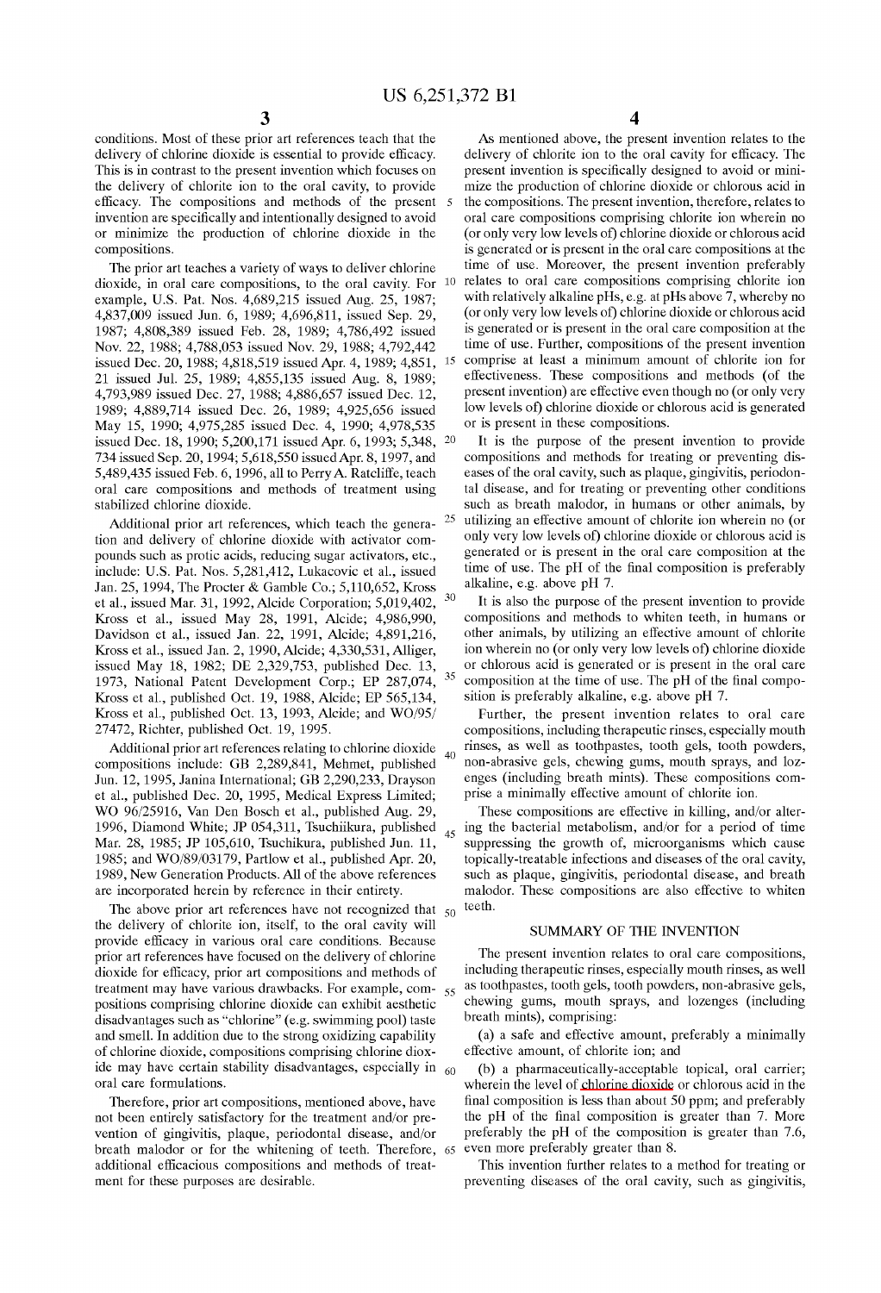conditions. Most of these prior art references teach that the delivery of chlorine dioxide is essential to provide efficacy. This is in contrast to the present invention which focuses on the delivery of chlorite ion to the oral cavity, to provide efficacy. The compositions and methods of the present invention are specifically and intentionally designed to avoid or minimize the production of chlorine dioxide in the compositions.

The prior art teaches a variety of ways to deliver chlorine dioxide, in oral care compositions, to the oral cavity. For 10 relates to oral care compositions comprising chlorite ion example, U.S. Pat. Nos. 4,689,215 issued Aug. 25, 1987; 4,837,009 issued Jun. 6, 1989; 4,696,811, issued Sep. 29, 1987; 4,808,389 issued Feb. 28, 1989; 4,786,492 issued Nov. 22, 1988; 4,788,053 issued Nov. 29, 1988; 4,792,442 issued Dec. 20, 1988; 4,818,519 issued Apr. 4, 1989; 4,851, 21 issued Jul. 25, 1989; 4,855,135 issued Aug. 8, 1989; 4,793,989 issued Dec. 27, 1988; 4,886,657 issued Dec. 12, 1989; 4,889,714 issued Dec. 26, 1989; 4,925,656 issued May 15, 1990; 4,975,285 issued Dec. 4, 1990; 4,978,535 issued Dec. 18, 1990; 5,200,171 issued Apr. 6, 1993; 5,348, 20 734 issued Sep. 20, 1994; 5,618,550 issuedApr. 8, 1997, and 5,489,435 issued Feb. 6, 1996, all to Perry A. Ratcliffe, teach oral care compositions and methods of treatment using stabilized chlorine dioxide.

Additional prior art references, which teach the generation and delivery of chlorine dioxide with activator compounds such as protic acids, reducing sugar activators, etc., include: U.S. Pat. Nos. 5,281,412, Lukacovic et al., issued Jan. 25, 1994, The Procter & Gamble Co.; 5,110,652, Kross et al., issued Mar. 31, 1992, Alcide Corporation;  $5,019,402, 30$ Kross et al., issued May 28, 1991, Alcide; 4,986,990, Davidson et al., issued Jan. 22, 1991, Alcide; 4,891,216, Kross et al., issued Jan. 2, 1990, Alcide; 4,330,531, Alliger, issued May 18, 1982; DE 2,329,753, published Dec. 13, 1973, National Patent Development Corp.; EP  $287,074$ ,  $35$ Kross et al., published Oct. 19, 1988, Alcide; EP 565,134, Kross et al., published Oct. 13, 1993, Alcide; and WO/95/ 27472, Richter, published Oct. 19, 1995.

Additional prior art references relating to chlorine dioxide compositions include: GB 2,289,841, Mehmet, published Jun. 12, 1995, Janina International; GB 2,290,233, Drayson et al., published Dec. 20, 1995, Medical Express Limited; WO 96/25916, Van Den Bosch et al., published Aug. 29, 1996, Diamond White; JP 054,311, Tsuchiikura, published 45 Mar. 28, 1985; JP 105,610, Tsuchikura, published Jun. 11, 1985; and WO/89/03179, Partlow et al., published Apr. 20, 1989, New Generation Products. AlI of the aboye references are incorporated herein by reference in their entirety.

The above prior art references have not recognized that  $50^\circ$  teeth. the delivery of chlorite ion, itself, to the oral cavity will provide efficacy in various oral care conditions. Because prior art references have focused on the delivery of chlorine dioxide for efficacy, prior art compositions and methods of treatment may have various drawbacks. For example, com- 55 positions comprising chlorine dioxide can exhibit aesthetic disadvantages such as "chlorine" (e.g. swimming pool) taste and smell. In addition due to the strong oxidizing capability of chlorine dioxide, compositions comprising chlorine dioxide may have certain stability disadvantages, especially in  $_{60}$ oral care formulations.

Therefore, prior art compositions, mentioned aboye, have not been entirely satisfactory for the treatment and/or prevention of gingivitis, plaque, periodontal disease, and/or breath malodor or for the whitening of teeth. Therefore, 65 additional efficacious compositions and methods of treatment for these purposes are desirable.

As mentioned aboye, the present invention relates to the delivery of chlorite ion to the oral cavity for efficacy. The present invention is specifically designed to avoid or minimize the production of chlorine dioxide or chlorous acid in the compositions. The present invention, therefore, relates to oral care compositions comprising chlorite ion wherein no (or only very low levels of) chlorine dioxide or chlorous acid is generated or is present in the oral care compositions at the time of use. Moreover, the present invention preferably with relatively alkaline pHs, e.g. at pHs aboye 7, whereby no (or only very low levels of) chlorine dioxide or chlorous acid is generated or is present in the oral care composition at the time of use. Further, compositions of the present invention 15 comprise at least a minimum amount of chlorite ion for effectiveness. These compositions and methods (of the present invention) are effective even though no (or only very low levels of) chlorine dioxide or chlorous acid is generated or is present in these compositions.

It is the purpose of the present invention to provide compositions and methods for treating or preventing diseases of the oral cavity, such as plaque, gingivitis, periodontal disease, and for treating or preventing other conditions such as breath malodor, in humans or other animals, by 25 utilizing an effective amount of chlorite ion wherein no (or only very low levels of) chlorine dioxide or chlorous acid is generated or is present in the oral care composition at the time of use. The pH of the final composition is preferably alkaline, e.g. aboye pH 7.

It is also the purpose of the present invention to provide compositions and methods to whiten teeth, in humans or other animals, by utilizing an effective amount of chlorite ion wherein no (or only very low levels of) chlorine dioxide or chlorous acid is generated or is present in the oral care composition at the time of use. The pH of the final composition is preferably alkaline, e.g. aboye pH 7.

Further, the present invention relates to oral care compositions, including therapeutic rinses, especially mouth rinses, as well as toothpastes, tooth gels, tooth powders, non-abrasive gels, chewing gums, mouth sprays, and lozenges (including breath mints). These compositions comprise a minimally effective amount of chlorite ion.

These compositions are effective in killing, and/or altering the bacterial metabolism, and/or for a period of time suppressing the growth of, microorganisms which cause topically-treatable infections and diseases of the oral cavity, such as plaque, gingivitis, periodontal disease, and breath malodor. These compositions are also effective to whiten

#### SUMMARY OF THE INVENTION

The present invention relates to oral care compositions, including therapeutic rinses, especially mouth rinses, as well as toothpastes, tooth gels, tooth powders, non-abrasive gels, chewing gums, mouth sprays, and lozenges (including breath mints), comprising:

(a) a safe and effective amount, preferably a minimally effective amount, of chlorite ion; and

(b) a pharmaceutically-acceptable topical, oral carrier; wherein the level of chlorine dioxide or chlorous acid in the final composition is less than about 50 ppm; and preferably the pH of the final composition is greater than 7. More preferably the pH of the composition is greater than 7.6, even more preferably greater than 8.

This invention further relates to a method for treating or preventing diseases of the oral cavity, such as gingivitis,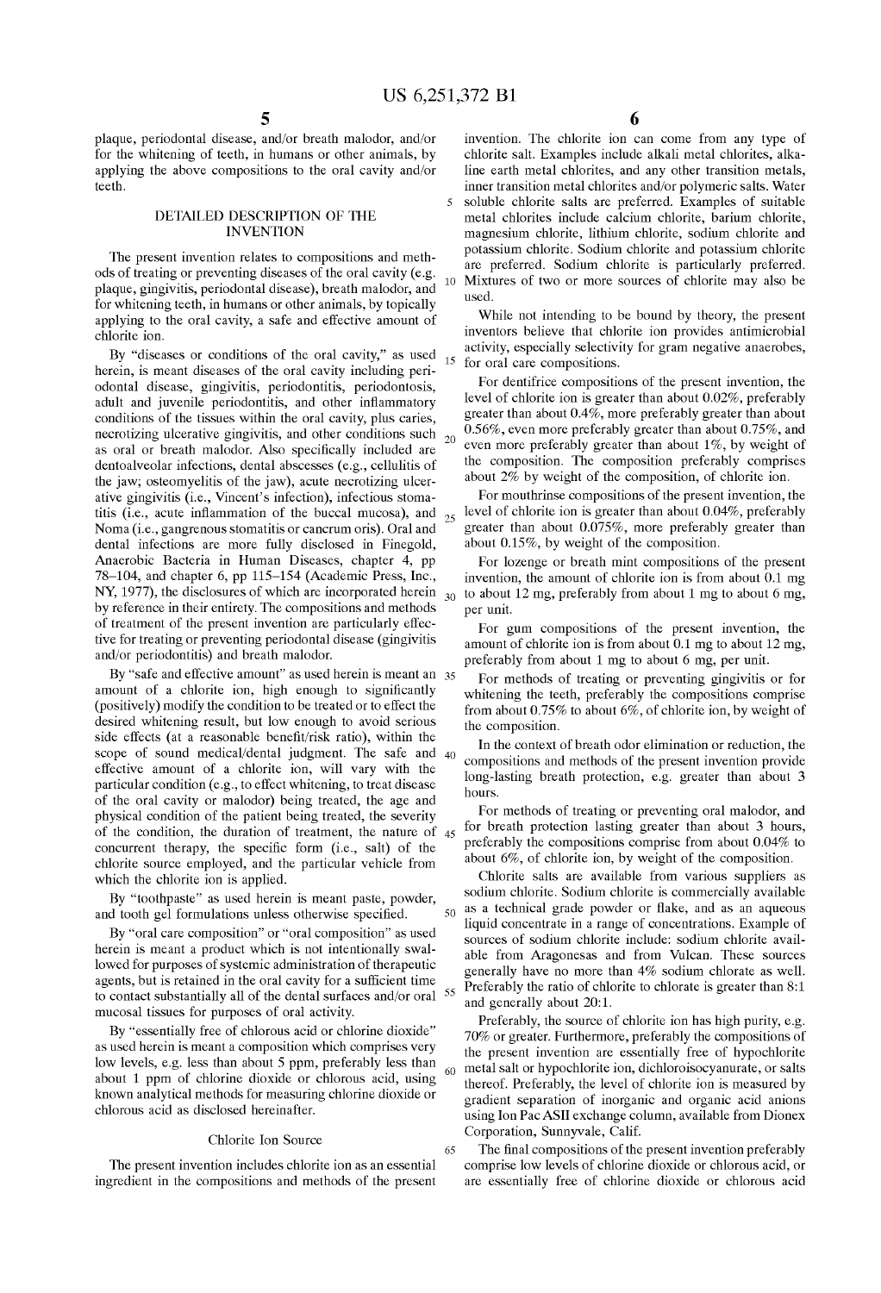plaque, periodontal disease, and/or breath malodor, and/or for the whitening of teeth, in humans or other animals, by applying the aboye compositions to the oral cavity and/or teeth.

## DETAILED DESCRIPTION OF THE INVENTION

The present invention relates to compositions and methods of treating or preventing diseases of the oral cavity (e.g. plaque, gingivitis, periodontal disease), breath malodor, and for whitening teeth, in humans or other animals, by topically applying to the oral cavity, a safe and effective amount of chlorite ion.

By "diseases or conditions of the oral cavity," as used  $_{15}$ herein, is meant diseases of the oral cavity including periodontal disease, gingivitis, periodontitis, periodontosis, adult and juvenile periodontitis, and other infiammatory conditions of the tissues within the oral cavity, plus caries, necrotizing ulcerative gingivitis, and other conditions such  $_{20}$ as oral or breath malodor. Also specifically included are dentoalveolar infections, dental abscesses (e.g., cellulitis of the jaw; osteomyelitis of the jaw), acute necratizing ulcerative gingivitis (i.e., Vincent's infection), infectious stomatitis (i.e., acute inflammation of the buccal mucosa), and  $_{25}$ Noma (i.e., gangrenous stomatitis or cancrum oris). Oral and dental infections are more fully disclosed in Finegold, Anaerabic Bacteria in Human Diseases, chapter 4, pp 78-104, and chapter 6, pp 115-154 (Academic Press, Inc., NY, 1977), the disclosures of which are incorporated herein  $_{30}$ by reference in their entirety. The compositions and methods of treatment of the present invention are particularly effective for treating or preventing periodontal disease (gingivitis and/or periodontitis) and breath malodor.

By "safe and effective amount" as used herein is meant an 35 amount of a chlorite ion, high enough to significantly (positively) modify the condition to be treated or to effect the desired whitening result, but low enough to avoid serious side effects (at a reasonable benefit/risk ratio), within the scope of sound medical/dental judgment. The safe and effective amount of a chlorite ion, will vary with the particular condition (e.g., to effect whitening, to treat disease of the oral cavity or malodor) being treated, the age and physical condition of the patient being treated, the severity of the condition, the duration of treatment, the nature of 45 concurrent therapy, the specific form (i.e., salt) of the chlorite source employed, and the particular vehicle from which the chlorite ion is applied.

and tooth gel formulations unless otherwise specified.

By "oral care composition" or "oral composition" as used herein is meant a product which is not intentionally swallowed for purposes of systemic administration of therapeutic agents, but is retained in the oral cavity for a sufficient time to contact substantially all of the dental surfaces and/or oral <sup>55</sup> mucosal tissues for purposes of oral activity.

By "essentially free of chlorous acid or chlorine dioxide" as used herein is meant a composition which comprises very low levels, e.g. less than about 5 ppm, preferably less than  $60$ about 1 ppm of chlorine dioxide or chlorous acid, using known analytical methods for measuring chlorine dioxide or chlorous acid as disclosed hereinafter.

#### Chlorite Ion Source

The present invention includes chlorite ion as an essential ingredient in the compositions and methods of the present

65

invention. The chlorite ion can come from any type of chlorite salt. Examples include alkali metal chlorites, alkaline earth metal chlorites, and any other transition metals, inner transition metal chlorites and/or polymeric salts. Water 5 soluble chlorite salts are preferred. Examples of suitable metal chlorites include calcium chlorite, barium chlorite, magnesium chlorite, lithium chlorite, sodium chlorite and potassium chlorite. Sodium chlorite and potassium chlorite are preferred. Sodium chlorite is particularly preferred. 10 Mixtures of two or more sources of chlorite may also be used.

While not intending to be bound by theory, the present inventors believe that chlorite ion provides antimicrobial activity, especially selectivity for gram negative anaerobes, for oral care compositions.

For dentifrice compositions of the present invention, the level of chlorite ion is greater than about 0.02%, preferably greater than about 0.4%, more preferably greater than about 0.56%, even more preferably greater than about 0.75%, and even more preferably greater than about 1%, by weight of the composition. The composition preferably comprises about 2% by weight of the composition, of chlorite ion.

For mouthrinse compositions of the present invention, the level of chlorite ion is greater than about 0.04%, preferably greater than about 0.075%, more preferably greater than about 0.15%, by weight of the composition.

For lozenge or breath mint compositions of the present invention, the amount of chlorite ion is from about  $0.1 \text{ mg}$ to about 12 mg, preferably from about 1 mg to about 6 mg, per unit.

For gum compositions of the present invention, the amount of chlorite ion is from about 0.1 mg to about 12 mg, preferably from about 1 mg to about 6 mg, per unit.

For methods of treating or preventing gingivitis or for whitening the teeth, preferably the compositions comprise from about  $0.75\%$  to about 6%, of chlorite ion, by weight of the composition.

In the context of breath odor elimination or reduction, the compositions and methods of the present invention pravide long-lasting breath protection, e.g. greater than about 3 hours.

For methods of treating or preventing oral malodor, and for breath protection lasting greater than about 3 hours, preferably the compositions comprise from about 0.04% to about 6%, of chlorite ion, by weight of the composition.

Chlorite salts are available from various suppliers as By "toothpaste" as used herein is meant paste, powder, sodium chlorite. Sodium chlorite is commercially available  $50$  as a technical grade powder or flake, and as an aqueous liquid concentrate in a range of concentrations. Example of sources of sodium chlorite include: sodium chlorite available from Aragonesas and from Vulcan. These sources generally have no more than 4% sodium chlorate as well. Preferably the ratio of chlorite to chlorate is greater than 8:1 and generally about 20:1.

> Preferably, the source of chlorite ion has high purity, e.g. 70% or greater. Furthermore, preferably the compositions of the present invention are essentially free of hypochlorite metal salt or hypochlorite ion, dichloroisocyanurate, or salts thereof. Preferably, the level of chlorite ion is measured by gradient separation of inorganic and organic acid anions using Ion Pac ASII exchange column, available from Dionex Corporation, Sunnyvale, Calif.

> The final compositions of the present invention preferably comprise low levels of chlorine dioxide or chlorous acid, or are essentially free of chlorine dioxide or chlorous acid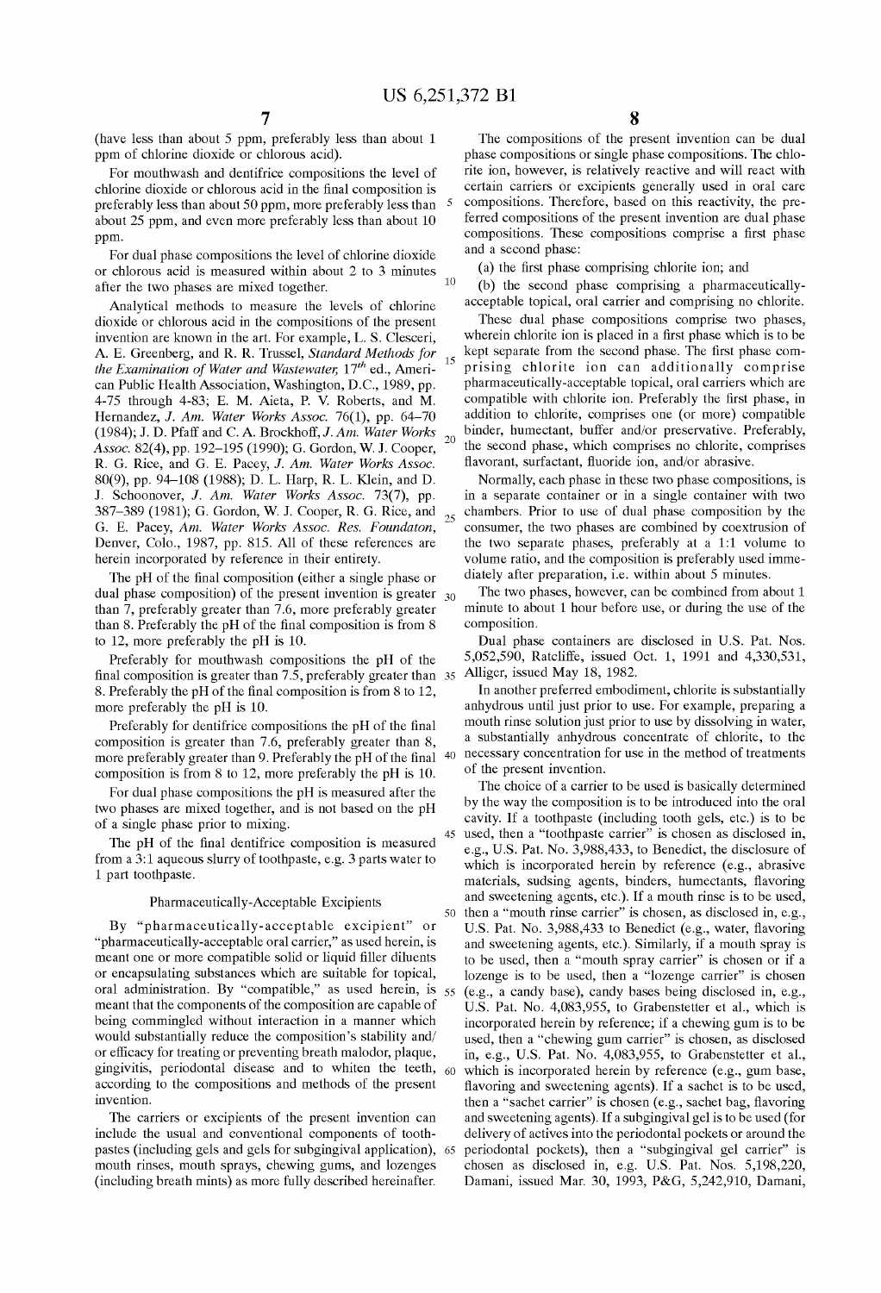10

(have less than about 5 ppm, preferably less than about 1 ppm of chlorine dioxide or chlorous acid).

For mouthwash and dentifrice compositions the level of chlorine dioxide or chlorous acid in the final composition is preferably less than about 50 ppm, more preferably less than about 25 ppm, and even more preferably less than about 10 ppm.

For dual phase compositions the level of chlorine dioxide or chlorous acid is measured within about 2 to 3 minutes after the two phases are mixed together.

Analytical methods to measure the levels of chlorine dioxide or chlorous acid in the compositions of the present invention are known in the art. For example, L. S. Clesceri, A. E. Greenberg, and R. R. Trussel, *Standard Methods for the Examination of Water and Wastewater, 17th* ed., American Public Health Association, Washington, D.C., 1989, pp. 4-75 thraugh 4-83; E. M. Aieta, P. V. Roberts, and M. Hernandez, *J. Am. Water Works Assoc.* 76(1), pp. 64-70 (1984); J. D. Pfaff and C. A. Brockhoff, J. Am. Water Works *Assoc.* 82(4), pp. 192-195 (1990); G. Gordon, W. J. Cooper, R. G. Rice, and G. E. Pacey, J. *Am. Water Works Assoc.*  80(9), pp. 94-108 (1988); D. L. Harp, R. L. Klein, and D. J. Schoonover, J. *Am. Water Works Assoc.* 73(7), pp. 387-389 (1981); G. Gordon, W. J. Cooper, R. G. Rice, and <sub>25</sub> G. E. Pacey, *Am. Water Works Assoc. Res. Foundaton,*  Denver, Colo., 1987, pp. 815. All of these references are herein incorporated by reference in their entirety.

The pH of the final composition (either a single phase or diately after preparation, i.e. within about 5 minutes. dual phase composition) of the present invention is greater  $_{30}$ than 7, preferably greater than 7.6, more preferably greater than 8. Preferably the  $pH$  of the final composition is from 8 to 12, more preferably the pH is 10.

Preferably for mouthwash compositions the pH of the final composition is greater than 7.5, preferably greater than 35 Alliger, issued May 18, 1982. 8. Preferably the pH of the final composition is from 8 to 12, more preferably the pH is 10.

Preferably for dentifrice compositions the pH of the final composition is greater than 7.6, preferably greater than 8, more preferably greater than 9. Preferably the pH of the final composition is from 8 to 12, more preferably the pH is 10.

For dual phase compositions the pH is measured after the two phases are mixed together, and is not based on the pH of a single phase prior to mixing.

The pH of the final dentifrice composition is measured from a 3:1 aqueous slurry of toothpaste, e.g. 3 parts water to 1 part toothpaste.

#### Pharmaceutically-Acceptable Excipients

By "pharmaceutically-acceptable excipient" or "pharmaceutically-acceptable oral carrier," as used herein, is meant one or more compatible solid or liquid filler diluents or encapsulating substances which are suitable for topical, oral administration. By "compatible," as used herein, is  $55$ meant that the components of the composition are capable of being commingled without interaction in a manner which would substantially reduce the composition's stability and/ or efficacy for treating or preventing breath malodor, plaque, gingivitis, periodontal disease and to whiten the teeth, according to the compositions and methods of the present invention.

The carriers or excipients of the present invention can include the usual and conventional components of toothpastes (including gels and gels for subgingival application), mouth rinses, mouth sprays, chewing gums, and lozenges (including breath mints) as more fully described hereinafter.

The compositions of the present invention can be dual phase compositions or single phase compositions. The chlorite ion, however, is relatively reactive and will react with certain carriers or excipients generally used in oral care 5 compositions. Therefore, based on this reactivity, the preferred compositions of the present invention are dual phase compositions. These compositions comprise a first phase and a second phase:

(a) the first phase comprising chlorite ion; and

(b) the second phase comprising a pharmaceuticallyacceptable topical, oral carrier and comprising no chlorite.

These dual phase compositions comprise two phases, wherein chlorite ion is placed in a first phase which is to be kept separate from the second phase. The first phase com-<sup>15</sup> prising chlorite ion can additionally comprise pharmaceutically-acceptable topical, oral carriers which are compatible with chlorite ion. Preferably the first phase, in addition to chlorite, comprises one (or more) compatible binder, humectant, buffer and/or preservative. Preferably, <sup>20</sup> the second phase, which comprises no chlorite, comprises fiavorant, surfactant, fiuoride ion, and/or abrasive.

Normally, each phase in these two phase compositions, is in a separate container or in a single container with two chambers. Prior to use of dual phase composition by the consumer, the two phases are combined by coextrusion of the two separate phases, preferably at a 1:1 volume to volume ratio, and the composition is preferably used imme-

The two phases, however, can be combined from about 1 minute to about 1 hour before use, or during the use of the composition.

Dual phase containers are disclosed in U.S. Pat. Nos. 5,052,590, Ratcliffe, issued Oct. 1, 1991 and 4,330,531,

In another preferred embodiment, chlorite is substantially anhydrous until just prior to use. For example, preparing a mouth rinse solution just prior to use by dissolving in water, a substantially anhydraus concentrate of chlorite, to the 40 necessary concentration for use in the method of treatments of the present invention.

The choice of a carrier to be used is basically determined by the way the composition is to be introduced into the oral cavity. If a toothpaste (including tooth gels, etc.) is to be 45 used, then a "toothpaste carrier" is chosen as disclosed in, e.g., U.S. Pat. No. 3,988,433, to Benedict, the disclosure of which is incorporated herein by reference (e.g., abrasive materials, sudsing agents, binders, humectants, fiavoring and sweetening agents, etc.). If a mouth rinse is to be used, 50 then a "mouth rinse carrier" is chosen, as disclosed in, e.g., U.S. Pat. No. 3,988,433 to Benedict (e.g., water, fiavoring and sweetening agents, etc.). Similarly, if a mouth spray is to be used, then a "mouth spray carrier" is chosen or if a lozenge is to be used, then a "lozenge carrier" is chosen 55 (e.g., a candy base), candy bases being disclosed in, e.g., U.S. Pat. No. 4,083,955, to Grabenstetter et al., which is incorporated herein by reference; if a chewing gum is to be used, then a "chewing gum carrier" is chosen, as disclosed in, e.g., U.S. Pat. No. 4,083,955, to Grabenstetter et al., 60 which is incorporated herein by reference (e.g., gum base, flavoring and sweetening agents). If a sachet is to be used, then a "sachet carrier" is chosen (e.g., sachet bag, fiavoring and sweetening agents). If a subgingival gel is to be used (for delivery of actives into the periodontal pockets or araund the periodontal pockets), then a "subgingival gel carrier" is chosen as disclosed in, e.g. U.S. Pat. Nos. 5,198,220, Damani, issued Mar. 30, 1993, P&G, 5,242,910, Damani,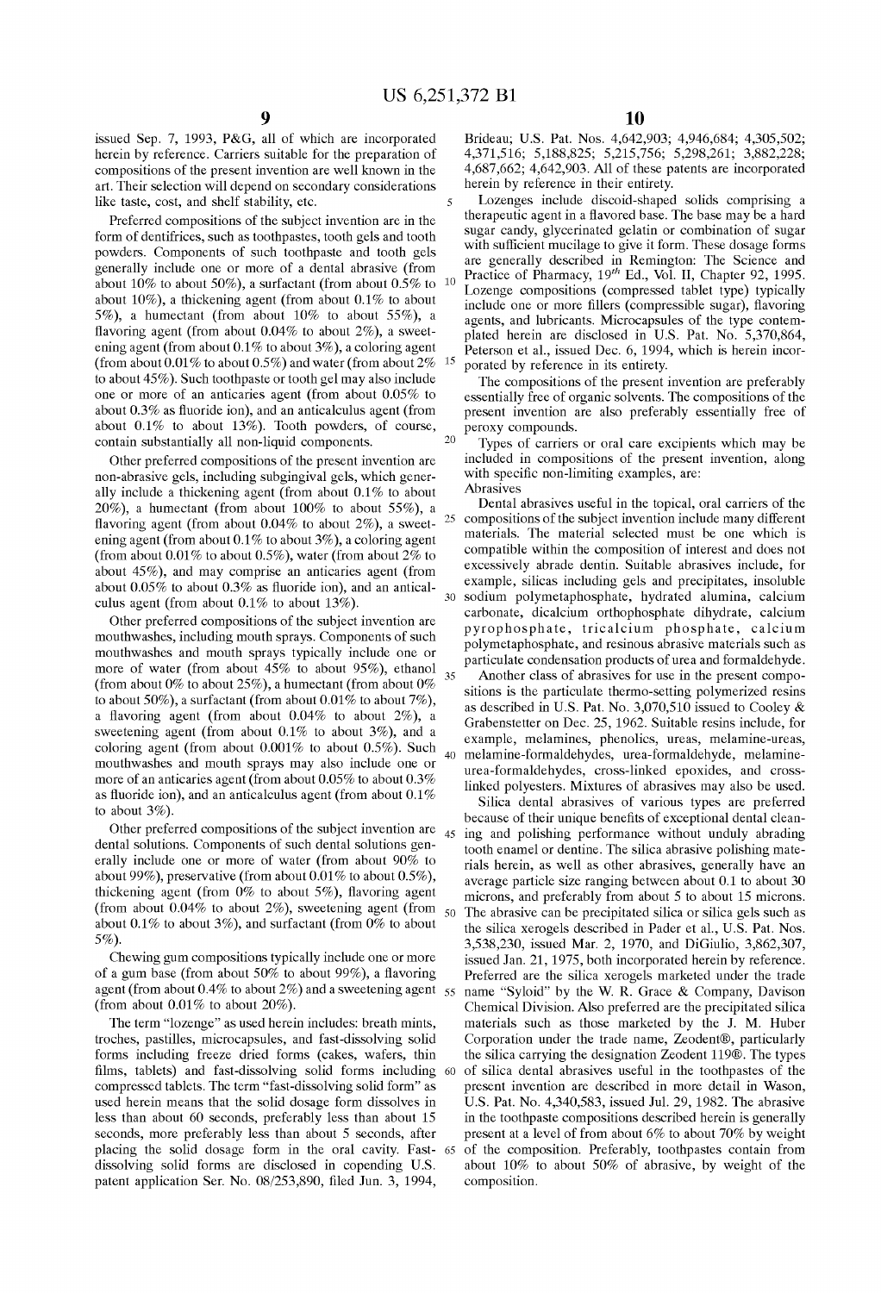5

issued Sep. 7, 1993, P&G, all of which are incorporated herein by reference. Carriers suitable for the preparation of compositions of the present invention are well known in the art. Their selection will depend on secondary considerations like taste, cost, and shelf stability, etc.

Preferred compositions of the subject invention are in the form of dentifrices, such as toothpastes, tooth gels and tooth powders. Components of such toothpaste and tooth gels generally include one or more of a dental abrasive (from about 10% to about 50%), a surfactant (from about  $0.5\%$  to about 10%), a thickening agent (from about  $0.1\%$  to about 5%), a humectant (from about  $10\%$  to about 55%), a flavoring agent (from about  $0.04\%$  to about  $2\%$ ), a sweetening agent (from about  $0.1\%$  to about  $3\%$ ), a coloring agent (from about  $0.01\%$  to about  $0.5\%$ ) and water (from about  $2\%$ to about 45%). Such toothpaste or tooth gel may also include one or more of an anticaries agent (from about  $0.05\%$  to about  $0.3\%$  as fluoride ion), and an anticalculus agent (from about 0.1% to about 13%). Tooth powders, of course, contain substantially all non-liquid components.

Other preferred compositions of the present invention are non-abrasive gels, including subgingival gels, which generally include a thickening agent (from about  $0.1\%$  to about  $20\%$ ), a humectant (from about  $100\%$  to about  $55\%$ ), a flavoring agent (from about  $0.04\%$  to about  $2\%$ ), a sweetening agent (from about  $0.1\%$  to about  $3\%$ ), a coloring agent (from about  $0.01\%$  to about  $0.5\%$ ), water (from about  $2\%$  to about  $45\%$ ), and may comprise an anticaries agent (from about 0.05% to about 0.3% as fiuoride ion), and an anticalculus agent (from about 0.1% to about 13%).

mouthwashes, including mouth sprays. Components of such mouthwashes and mouth sprays typically include one or more of water (from about 45% to about 95%), ethanol  $35$ (from about  $0\%$  to about  $25\%$ ), a humectant (from about  $0\%$ to about 50%), a surfactant (from about  $0.01\%$  to about 7%), a flavoring agent (from about  $0.04\%$  to about  $2\%$ ), a sweetening agent (from about  $0.1\%$  to about  $3\%$ ), and a coloring agent (from about  $0.001\%$  to about  $0.5\%$ ). Such mouthwashes and mouth sprays may also include one or more of an anticaries agent (from about  $0.05\%$  to about  $0.3\%$ as fluoride ion), and an anticalculus agent (from about  $0.1\%$ to about 3%).

Other preferred compositions of the subject invention are dental solutions. Components of such dental solutions generally include one or more of water (from about 90% to about 99%), preservative (from about  $0.01\%$  to about  $0.5\%$ ), thickening agent (from  $0\%$  to about 5%), flavoring agent (from about  $0.04\%$  to about  $2\%$ ), sweetening agent (from about 0.1% to about 3%), and surfactant (from  $0\%$  to about 5%).

Chewing gum compositions typically include one or more of a gum base (from about 50% to about 99%), a flavoring agent (from about 0.4% to about 2%) and a sweetening agent  $55$ (from about  $0.01\%$  to about  $20\%$ ).

The term "lozenge" as used herein includes: breath mints, troches, pastilles, microcapsules, and fast-dissolving solid forms including freeze dried forms (cakes, wafers, thin films, tablets) and fast-dissolving solid forms including compressed tablets. The term "fast-dissolving solid form" as used herein means that the solid dosage form dissolves in less than about 60 seconds, preferably less than about 15 seconds, more preferably less than about 5 seconds, after placing the solid dosage form in the oral cavity. Fastdissolving solid forms are disclosed in copending U.S. patent application Ser. No. 08/253,890, filed Jun. 3, 1994,

Brideau; U.S. Pat. Nos. 4,642,903; 4,946,684; 4,305,502; 4,371,516; 5,188,825; 5,215,756; 5,298,261; 3,882,228; 4,687,662; 4,642,903. All of these patents are incorporated herein by reference in their entirety.

Lozenges include discoid-shaped solids comprising a therapeutic agent in a fiavored base. The base may be a hard sugar candy, glycerinated gelatin or combination of sugar with sufficient mucilage to give it form. These dosage forms are generally described in Remington: The Science and Practice of Pharmacy,  $19^{th}$  Ed., Vol. II, Chapter 92, 1995. Lozenge compositions (compressed tablet type) typically include one or more fillers (compressible sugar), fiavoring agents, and lubricants. Microcapsules of the type contemplated herein are disclosed in U.S. Pat. No. 5,370,864, Peterson et al., issued Dec. 6, 1994, which is herein incor-15 porated by reference in its entirety.

The compositions of the present invention are preferably essentially free of organic solvents. The compositions of the present invention are also preferably essentially free of peraxy compounds.

Types of carriers or oral care excipients which may be included in compositions of the present invention, along with specific non-limiting examples, are: Abrasives

Dental abrasives useful in the topical, oral carriers of the 25 compositions of the subject invention include many different materials. The material selected must be one which is compatible within the composition of interest and does not excessively abrade dentin. Suitable abrasives include, for example, silicas including gels and precipitates, insoluble sodium polymetaphosphate, hydrated alumina, calcium carbonate, dicalcium orthophosphate dihydrate, calcium<br>Other preferred compositions of the subject invention are<br>the subset of the subject invention are pyrophosphate, tricalcium phosphate, calcium polymetaphosphate, and resinous abrasive materials such as particulate condensation products of urea and formaldehyde.

> Another class of abrasives for use in the present compositions is the particulate thermo-setting polymerized resins as described in U.S. Pat. No. 3,070,510 issued to Cooley & Grabenstetter on Dec. 25, 1962. Suitable resins include, for example, melamines, phenolics, ureas, melamine-ureas, melamine-formaldehydes, urea-formaldehyde, melamineurea-formaldehydes, cross-linked epoxides, and crosslinked polyesters. Mixtures of abrasives may also be used.

Silica dental abrasives of various types are preferred because of their unique benefits of exceptional dental clean-45 ing and polishing performance without unduly abrading tooth enamel or dentine. The silica abrasive polishing materials herein, as well as other abrasives, generally have an average particle size ranging between about 0.1 to about 30 microns, and preferably from about 5 to about 15 microns. 50 The abrasive can be precipitated silica or silica gels such as the silica xerogels described in Pader et al., U.S. Pat. Nos. 3,538,230, issued Mar. 2, 1970, and DiGiulio, 3,862,307, issued Jan. 21, 1975, both incorporated herein by reference. Preferred are the silica xerogels marketed under the trade name "Syloid" by the W. R. Grace & Company, Davison Chemical Division. Also preferred are the precipitated silica materials such as those marketed by the J. M. Huber Corporation under the trade name, Zeodent®, particularly the silica carrying the designation Zeodent 119®. The types 60 of silica dental abrasives useful in the toothpastes of the present invention are described in more detail in Wason, U.S. Pat. No. 4,340,583, issued Jul. 29, 1982. The abrasive in the toothpaste compositions described herein is generally present at a level of from about 6% to about 70% by weight 65 of the composition. Preferably, toothpastes contain fram about 10% to about 50% of abrasive, by weight of the composition.

 $20$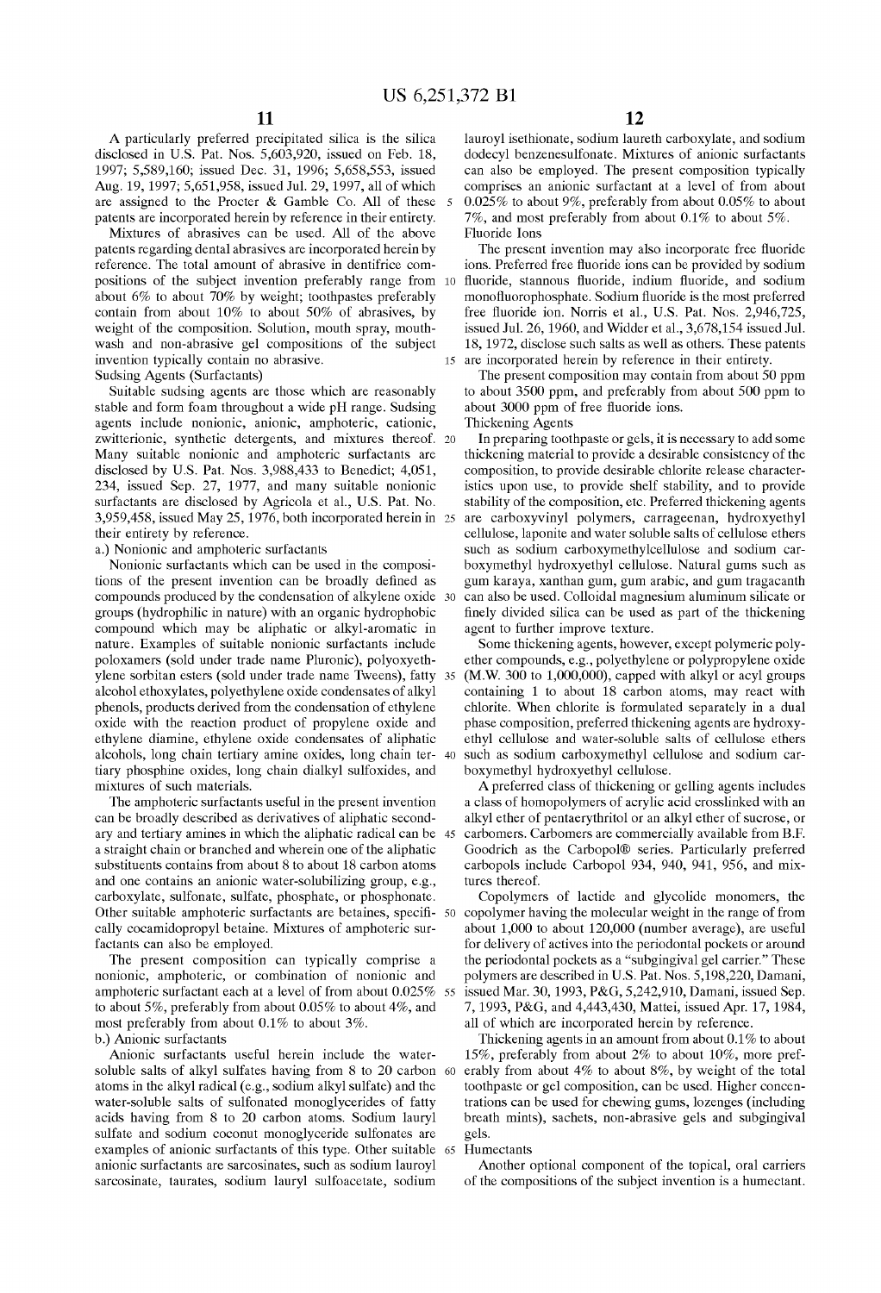A particularly preferred precipitated silica is the silica disclosed in U.S. Pat. Nos. 5,603,920, issued on Feb. 18, 1997; 5,589,160; issued Dec. 31, 1996; 5,658,553, issued Aug. 19, 1997; 5,651,958, issued Jul. 29, 1997, all of which are assigned to the Procter & Gamble Co. All of these patents are incorporated herein by reference in their entirety.

Mixtures of abrasives can be used. All of the aboye patents regarding dental abrasives are incorporated herein by reference. The total amount of abrasive in dentifrice compositions of the subject invention preferably range from about 6% to about 70% by weight; toothpastes preferably contain from about 10% to about 50% of abrasives, by weight of the composition. Solution, mouth spray, mouthwash and non-abrasive gel compositions of the subject invention typically contain no abrasive.

Suitable sudsing agents are those which are reasonably stable and form foam throughout a wide pH range. Sudsing agents include nonionic, anionic, amphoteric, cationic, zwitterionic, synthetic detergents, and mixtures thereof. 20 Many suitable nonionic and amphoteric surfactants are disclosed by U.S. Pat. Nos. 3,988,433 to Benedict; 4,051, 234, issued Sep. 27, 1977, and many suitable nonionic surfactants are disclosed by Agricola et al., U.S. Pat. No. 3,959,458, issued May 25,1976, both incorporated herein in their entirety by reference.

a.) Nonionic and amphoteric surfactants

Nonionic surfactants which can be used in the compositions of the present invention can be broadly defined as compounds produced by the condensation of alkylene oxide groups (hydrophilic in nature) with an organic hydrophobic compound which may be aliphatic or alkyl-aromatic in nature. Examples of suitable nonionic surfactants include poloxamers (sold under trade name Pluronic), polyoxyethylene sorbitan esters (sold under trade name Tweens), fatty alcohol ethoxylates, polyethylene oxide condensates of alkyl phenols, products derived from the condensation of ethylene oxide with the reaction product of propylene oxide and ethylene diamine, ethylene oxide condensates of aliphatic alcohols, long chain tertiary amine oxides, long chain tertiary phosphine oxides, long chain dialkyl sulfoxides, and mixtures of such materials.

The amphoteric surfactants useful in the present invention can be broadly described as derivatives of aliphatic secondary and tertiary amines in which the aliphatic radical can be 45 a straight chain or branched and wherein one of the aliphatic substituents contains from about 8 to about 18 carbon atoms and one contains an anionic water-solubilizing group, e.g., carboxylate, sulfonate, sulfate, phosphate, or phosphonate. cally cocamidopropyl betaine. Mixtures of amphoteric surfactants can also be employed.

The present composition can typically comprise a nonionic, amphoteric, or combination of nonionic and amphoteric surfactant each at a level of from about 0.025% 55 to about 5%, preferably from about 0.05% to about 4%, and most preferably from about 0.1% to about 3%. b.) Anionic surfactants

Anionic surfactants useful herein include the watersoluble salts of alkyl sulfates having from 8 to 20 carbon 60 atoms in the alkyl radical (e.g., sodium alkyl sulfate) and the water-soluble salts of sulfonated monoglycerides of fatty acids having from 8 to 20 carbon atoms. Sodium lauryl sulfate and sodium coconut monoglyceride sulfonates are examples of anionic surfactants of this type. Other suitable 65 Humectants anionic surfactants are sarcosinates, such as sodium lauroyl sarcosinate, taurates, sodium lauryl sulfoacetate, sodium

lauroyl isethionate, sodium laureth carboxylate, and sodium dodecyl benzenesulfonate. Mixtures of anionic surfactants can also be employed. The present composition typically comprises an anionic surfactant at a level of from about 5 0.025% to about 9%, preferably from about 0.05% to about 7%, and most preferably from about 0.1% to about 5%. Fluoride Ions

The present invention may also incorporate free fiuoride ions. Preferred free fiuoride ions can be provided by sodium fluoride, stannous fluoride, indium fluoride, and sodium monofiuorophosphate. Sodium fiuoride is the most preferred free fiuoride ion. Norris et al., U.S. Pat. Nos. 2,946,725, issued Jul. 26, 1960, and Widder et al., 3,678,154 issued Jul. 18, 1972, disclose such salts as well as others. These patents 15 are incorporated herein by reference in their entirety.

Sudsing Agents (Surfactants) The present composition may contain from about 50 ppm to about 3500 ppm, and preferably from about 500 ppm to about 3000 ppm of free fiuoride ions. Thickening Agents

> In preparing toothpaste or gels, it is necessary to add some thickening material to provide a desirable consistency of the composition, to provide desirable chlorite release characteristics upon use, to provide shelf stability, and to provide stability of the composition, etc. Preferred thickening agents are carboxyvinyl polymers, carrageenan, hydroxyethyl cellulose, laponite and water soluble salts of cellulose ethers such as sodium carboxymethylcellulose and sodium carboxymethyl hydroxyethyl cellulose. Natural gums such as gum karaya, xanthan gum, gum arabic, and gum tragacanth can also be used. Colloidal magnesium aluminum silicate or finely divided silica can be used as part of the thickening agent to further improve texture.

Some thickening agents, however, except polymeric polyether compounds, e.g., polyethylene or polypropylene oxide  $(M.W. 300$  to 1,000,000), capped with alkyl or acyl groups containing 1 to about 18 carbon atoms, may react with chlorite. When chlorite is formulated separately in a dual phase composition, preferred thickening agents are hydroxyethyl cellulose and water-soluble salts of cellulose ethers 40 such as sodium carboxymethyl cellulose and sodium carboxymethyl hydroxyethyl cellulose.

A preferred class of thickening or gelling agents includes a class of homopolymers of acrylic acid crosslinked with an alkyl ether of pentaerythritol or an alkyl ether of sucrose, or Goodrich as the Carbopol® series. Particularly preferred carbopols include Carbopol 934, 940, 941, 956, and mixtures thereof.

Other suitable amphoteric surfactants are betaines, specifi- 50 copolymer having the molecular weight in the range of from Copolymers of lactide and glycolide monomers, the about 1,000 to about 120,000 (number average), are useful for delivery of actives into the periodontal pockets or around the periodontal pockets as a "subgingival gel carrier." These polymers are described in U.S. Pat. Nos. 5,198,220, Damani, issued Mar. 30, 1993, P&G, 5,242,910, Damani, issued Sep. 7, 1993, P&G, and 4,443,430, Mattei, issued Apr. 17, 1984, all of which are incorporated herein by reference.

> Thickening agents in an amount from about 0.1 % to about 15%, preferably from about 2% to about 10%, more preferably from about 4% to about 8%, by weight of the total toothpaste or gel composition, can be used. Higher concentrations can be used for chewing gums, lozenges (including breath mints), sachets, non-abrasive gels and subgingival gels.

Another optional component of the topical, oral carriers of the compositions of the subject invention is a humectant.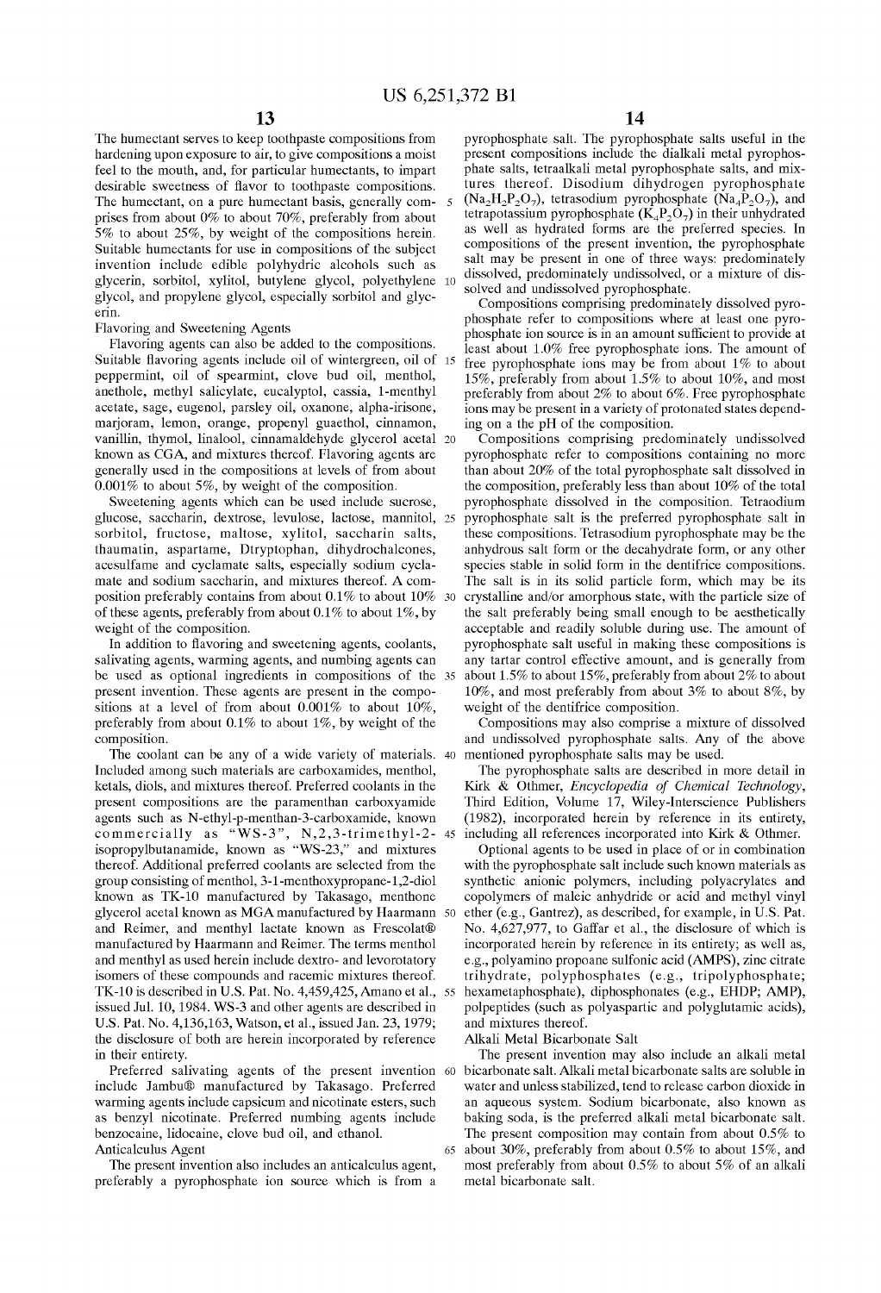The humectant serves to keep toothpaste compositions from hardening upon exposure to air, to give compositions a moist feel to the mouth, and, for particular humectants, to impart desirable sweetness of flavor to toothpaste compositions. The humectant, on a pure humectant basis, generally comprises from about 0% to about 70%, preferably from about 5% to about 25%, by weight of the compositions herein. Suitable humectants for use in compositions of the subject invention include edible polyhydric alcohols such as glycerin, sorbitol, xylitol, butylene glycol, polyethylene glycol, and propylene glycol, especially sorbitol and glycerin.

Flavoring and Sweetening Agents

Flavoring agents can also be added to the compositions. Suitable flavoring agents include oil of wintergreen, oil of 15 peppermint, oil of spearmint, clove bud oil, menthol, anethole, methyl salicylate, eucalyptol, cassia, 1-menthyl acetate, sage, eugenol, parsley oil, oxanone, alpha-irisone, marjoram, lemon, orange, propenyl guaethol, cinnamon, vanillin, thymol, linalool, cinnamaldehyde glycerol acetal known as CGA, and mixtures thereof. Flavoring agents are gene rally used in the compositions at levels of from about  $0.001\%$  to about 5%, by weight of the composition.

glucose, saccharin, dextrose, levulose, lactose, mannitol, sorbitol, fructose, maltose, xylitol, saccharin salts, thaumatin, aspartame, Dtryptophan, dihydrochalcones, acesulfame and cyclamate salts, especially sodium cyclamate and sodium saccharin, and mixtures thereof. A composition preferably contains from about  $0.1\%$  to about  $10\%$  30 of these agents, preferably from about  $0.1\%$  to about  $1\%$ , by weight of the composition.

In addition to flavoring and sweetening agents, coolants, salivating agents, warming agents, and numbing agents can present invention. These agents are present in the compositions at a level of from about 0.001% to about 10%, preferably from about 0.1% to about 1%, by weight of the composition.

The coolant can be any of a wide variety of materials. 40 Included among such materials are carboxamides, menthol, ketals, diols, and mixtures thereof. Preferred coolants in the present compositions are the paramenthan carboxyamide agents such as N-ethyl-p-menthan-3-carboxamide, known commercially as "WS-3", N,2,3-trimethyl-2 isopropylbutanamide, known as "WS-23," and mixtures thereof. Additional preferred coolants are selected from the group consisting of menthol, 3-1-menthoxypropane-1,2-diol known as TK-lO manufactured by Takasago, menthone glycerol acetal known as MGA manufactured by Haarmann and Reimer, and menthyl lactate known as Frescolat® manufactured by Haarmann and Reimer. The terms menthol and menthyl as used herein include dextro- and levorotatory isomers of these compounds and racemic mixtures thereof. TK-lO is described in U.S. Pat. No. 4,459,425, Amano et al., issued Jul. 10,1984. WS-3 and other agents are described in U.S. Pat. No. 4,136,163, Watson, et al., issued Jan. 23, 1979; the disclosure of both are herein incorporated by reference in their entirety.

Preferred salivating agents of the present invention 60 include Jambu® manufactured by Takasago. Preferred warming agents include capsicum and nicotinate esters, such as benzyl nicotinate. Preferred numbing agents include benzocaine, lidocaine, clove bud oil, and ethanol. Anticalculus Agent

The present invention also includes an anticalculus agent, preferably a pyrophosphate ion source which is from a

pyrophosphate salt. The pyrophosphate salts useful in the present compositions include the dialkali metal pyrophosphate salts, tetraalkali metal pyrophosphate salts, and mixtures thereof. Disodium dihydrogen pyrophosphate  $(Na_2H_2P_2O_7)$ , tetrasodium pyrophosphate  $(Na_4P_2O_7)$ , and tetrapotassium pyrophosphate  $(K_4P_2O_7)$  in their unhydrated as well as hydrated forms are the preferred species. In compositions of the present invention, the pyrophosphate salt may be present in one of three ways: predominately dissolved, predominately undissolved, or a mixture of dissolved and undissolved pyrophosphate.

Compositions comprising predominately dissolved pyrophosphate refer to compositions where at least one pyrophosphate ion source is in an amount sufficient to provide at least about 1.0% free pyrophosphate ions. The amount of free pyrophosphate ions may be from about 1% to about 15%, preferably from about 1.5% to about 10%, and most preferably from about 2% to about 6%. Free pyrophosphate ions may be present in a variety of protonated states depending on a the pH of the composition.

Compositions comprising predominately undissolved pyrophosphate refer to compositions containing no more than about 20% of the total pyrophosphate salt dissolved in the composition, preferably less than about 10% of the total Sweetening agents which can be used include sucrose, pyrophosphate dissolved in the composition. Tetraodium be used as optional ingredients in compositions of the 35 about 1.5% to about 15%, preferably from about 2% to about pyrophosphate salt is the preferred pyrophosphate salt in these compositions. Tetrasodium pyrophosphate may be the anhydrous salt form or the decahydrate form, or any other species stable in solid form in the dentifrice compositions. The salt is in its solid particle form, which may be its crystalline and/or amorphous state, with the particle size of the salt preferably being small enough to be aesthetically acceptable and readily soluble during use. The amount of pyrophosphate salt useful in making these compositions is any tartar control effective amount, and is generally from 10%, and most preferably from about 3% to about 8%, by weight of the dentifrice composition.

> Compositions may also comprise a mixture of dissolved and undissolved pyrophosphate salts. Any of the aboye mentioned pyrophosphate salts may be used.

> The pyrophosphate salts are described in more detail in Kirk & Othmer, *Encyclopedia of Chemical Technology,*  Third Edition, Volume 17, Wiley-Interscience Publishers (1982), incorporated herein by reference in its entirety, including all references incorporated into Kirk & Othmer.

> Optional agents to be used in place of or in combination with the pyrophosphate salt include such known materials as synthetic anionic polymers, including polyacrylates and copolymers of maleic anhydride or acid and methyl vinyl 50 ether (e.g., Gantrez), as described, for example, in U.S. Pat. No. 4,627,977, to Gaffar et al., the disclosure of which is incorporated herein by reference in its entirety; as well as, e.g., polyamino propoane sulfonic acid (AMPS), zinc citrate trihydrate, polyphosphates (e.g., tripolyphosphate; hexametaphosphate), diphosphonates (e.g., EHDP; AMP), polpeptides (such as polyaspartic and polyglutamic acids), and mixtures thereof.

Alkali Metal Bicarbonate Salt

The present invention may also include an alkali metal bicarbonate salt. Alkali metal bicarbonate salts are soluble in water and unless stabilized, tend to release carbon dioxide in an aqueous system. Sodium bicarbonate, also known as baking soda, is the preferred alkali metal bicarbonate salt. The present composition may contain from about 0.5% to 65 about 30%, preferably from about 0.5% to about 15%, and most preferably from about 0.5% to about 5% of an alkali metal bicarbonate salt.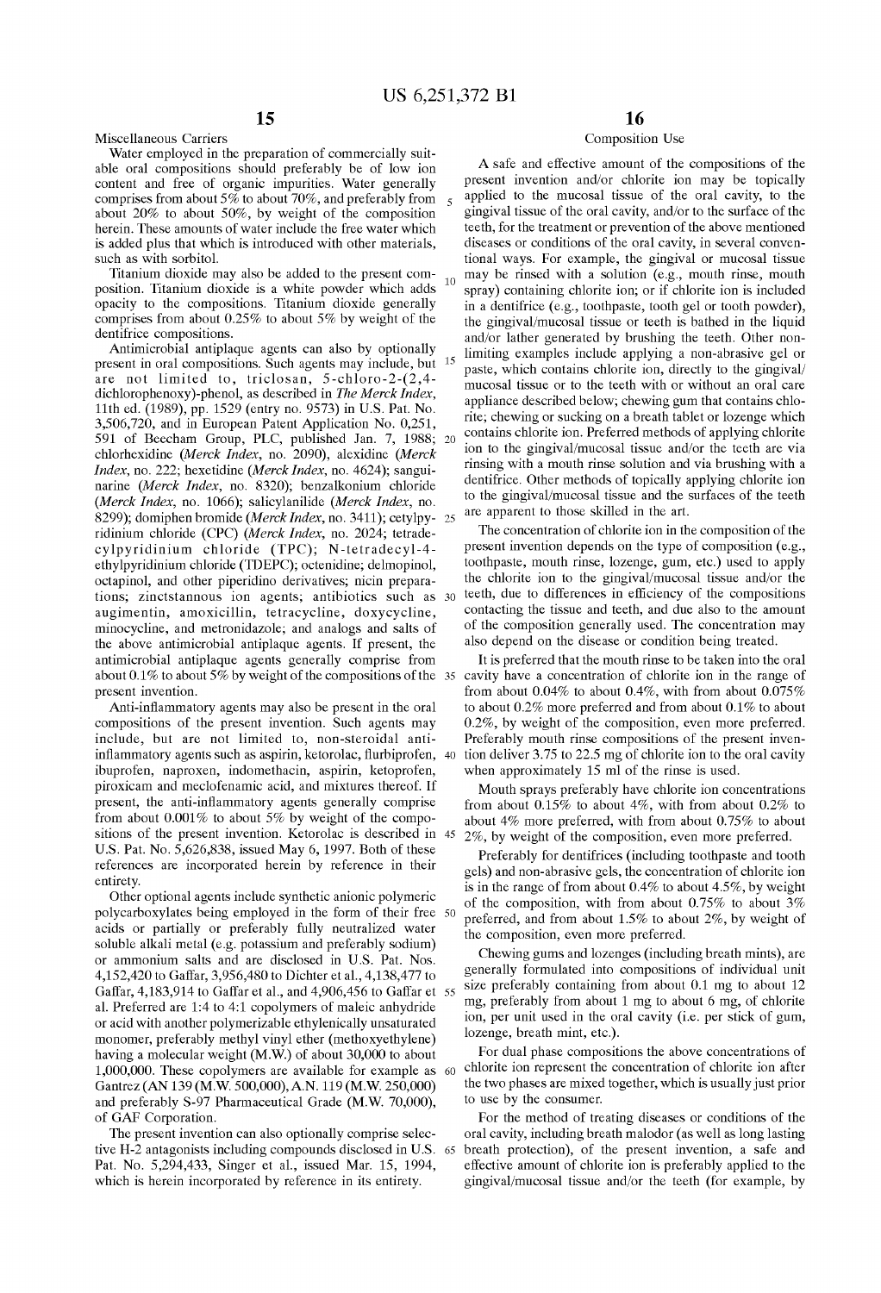Miscellaneous Carriers

## Water employed in the preparation of commercially suitable oral compositions should preferably be of low ion content and free of organic impurities. Water generally comprises from about  $5\%$  to about 70%, and preferably from about 20% to about 50%, by weight of the composition herein. These amounts of water include the free water which is added plus that which is introduced with other materials, such as with sorbitol.

**15** 

Titanium dioxide may also be added to the present com- 10 position. Titanium dioxide is a white powder which adds opacity to the compositions. Titanium dioxide generally comprises from about  $0.25\%$  to about 5% by weight of the dentifrice compositions.

Antimicrabial antiplaque agents can also by optionally present in oral compositions. Such agents may include, but 15 are not limited to, triclosan, 5-chloro-2-(2,4 dichlorophenoxy)-phenol, as described in *The Merck Index,*  11th ed. (1989), pp. 1529 (entry no. 9573) in U.S. Pat. No. 3,506,720, and in Eurapean Patent Application No. 0,251, 591 of Beecham Group, PLC, published Jan. 7, 1988; 20 chlorhexidine *(Merck Index,* no. 2090), alexidine *(Merck Index,* no. 222; hexetidine *(Merck Index,* no. 4624); sanguinarine *(Merck Index,* no. 8320); benzalkonium chloride *(Merck Index,* no. 1066); salicylanilide *(Merck Index,* no. 8299); domiphen bromide *(Merck Index, no.* 3411); cetylpyridinium chloride (CPC) *(Merck Index,* no. 2024; tetradecylpyridinium chloride (TPC); N-tetradecyl-4 ethylpyridinium chloride (IDEPC); octenidine; delmopinol, octapinol, and other piperidino derivatives; nicin preparations; zinctstannous ion agents; antibiotics such as 30 augimentin, amoxicillin, tetracycline, doxycycline, minocycline, and metronidazole; and analogs and salts of the aboye antimicrabial antiplaque agents. If present, the antimicrobial antiplaque agents generally comprise from present invention.

Anti-infiammatory agents may also be present in the oral compositions of the present invention. Such agents may include, but are not limited to, non-steroidal antiinflammatory agents such as aspirin, ketorolac, flurbiprofen, 40 ibuprafen, napraxen, indomethacin, aspirin, ketoprafen, piraxicam and meclofenamic acid, and mixtures thereof. If present, the anti-inflammatory agents generally comprise from about  $0.001\%$  to about 5% by weight of the compositions of the present invention. Ketorolac is described in 45 U.S. Pat. No. 5,626,838, issued May 6, 1997. Both of these references are incorporated herein by reference in their entirety.

Other optional agents include synthetic anionic polymeric polycarboxylates being employed in the form of their free 50 acids or partially or preferably fully neutralized water soluble alkali metal (e.g. potassium and preferably sodium) or ammonium salts and are disclosed in U.S. Pat. Nos. 4,152,420 to Gaffar, 3,956,480 to Dichter et al., 4,138,477 to Gaffar, 4,183,914 to Gaffar et al., and 4,906,456 to Gaffar et 55 al. Preferred are 1:4 to 4:1 copolymers of maleic anhydride or acid with another polymerizable ethylenically unsaturated monomer, preferably methyl vinyl ether (methoxyethylene) having a molecular weight (M.W.) of about 30,000 to about 1,000,000. These copolymers are available for example as 60 Gantrez (AN 139 (M.W. 500,000),AN. 119 (M.W. 250,000) and preferably S-97 Pharmaceutical Grade (M.W. 70,000), of GAP Corporation.

The present invention can also optionally comprise selective H-2 antagonists including compounds disclosed in U.S. 65 Pat. No. 5,294,433, Singer et al., issued Mar. 15, 1994, which is herein incorporated by reference in its entirety.

## **16**

## Composition Use

A safe and effective amount of the compositions of the present invention and/or chlorite ion may be topically applied to the mucosal tissue of the oral cavity, to the gingival tissue of the oral cavity, and/or to the surface of the teeth, for the treatment or prevention of the aboye mentioned diseases or conditions of the oral cavity, in several conventional ways. For example, the gingival or mucosal tissue may be rinsed with a solution (e.g., mouth rinse, mouth spray) containing chlorite ion; or if chlorite ion is included in a dentifrice (e.g., toothpaste, tooth gel or tooth powder), the gingival/mucosal tissue or teeth is bathed in the liquid and/or lather generated by brushing the teeth. Other nonlimiting examples include applying a non-abrasive gel or paste, which contains chlorite ion, directly to the gingival/ mucosal tissue or to the teeth with or without an oral care appliance described below; chewing gum that contains chlorite; chewing or sucking on a breath tablet or lozenge which contains chlorite ion. Preferred methods of applying chlorite ion to the gingival/mucosal tissue and/or the teeth are via rinsing with a mouth rinse solution and via brushing with a dentifrice. Other methods of topically applying chlorite ion to the gingival/mucosal tissue and the surfaces of the teeth are apparent to those skilled in the art.

The concentration of chlorite ion in the composition of the present invention depends on the type of composition (e.g., toothpaste, mouth rinse, lozenge, gum, etc.) used to apply the chlorite ion to the gingival/mucosal tissue and/or the teeth, due to differences in efficiency of the compositions contacting the tissue and teeth, and due also to the amount of the composition gene rally used. The concentration may also depend on the disease or condition being treated.

about 0.1% to about 5% by weight of the compositions of the  $35$  cavity have a concentration of chlorite ion in the range of It is preferred that the mouth rinse to be taken into the oral from about 0.04% to about 0.4%, with from about 0.075% to about  $0.2\%$  more preferred and from about  $0.1\%$  to about 0.2%, by weight of the composition, even more preferred. Preferably mouth rinse compositions of the present invention deliver  $3.75$  to  $22.5$  mg of chlorite ion to the oral cavity when approximately 15 ml of the rinse is used.

> Mouth sprays preferably have chlorite ion concentrations from about  $0.15\%$  to about 4%, with from about  $0.2\%$  to about  $4\%$  more preferred, with from about 0.75% to about 2%, by weight of the composition, even more preferred.

> Preferably for dentifrices (including toothpaste and tooth gels) and non-abrasive gels, the concentration of chlorite ion is in the range of from about  $0.4\%$  to about  $4.5\%$ , by weight of the composition, with from about  $0.75\%$  to about  $3\%$ preferred, and from about  $1.5\%$  to about  $2\%$ , by weight of the composition, even more preferred.

> Chewing gums and lozenges (including breath mints), are gene rally formulated into compositions of individual unit size preferably containing from about  $0.1$  mg to about  $12$ mg, preferably from about 1 mg to about 6 mg, of chlorite ion, per unit used in the oral cavity (i.e. per stick of gum, lozenge, breath mint, etc.).

> For dual phase compositions the aboye concentrations of chlorite ion represent the concentration of chlorite ion after the two phases are mixed together, which is usually just prior to use by the consumer.

> For the method of treating diseases or conditions of the oral cavity, including breath malodor (as well as long lasting breath protection), of the present invention, a safe and effective amount of chlorite ion is preferably applied to the gingival/mucosal tissue and/or the teeth (for example, by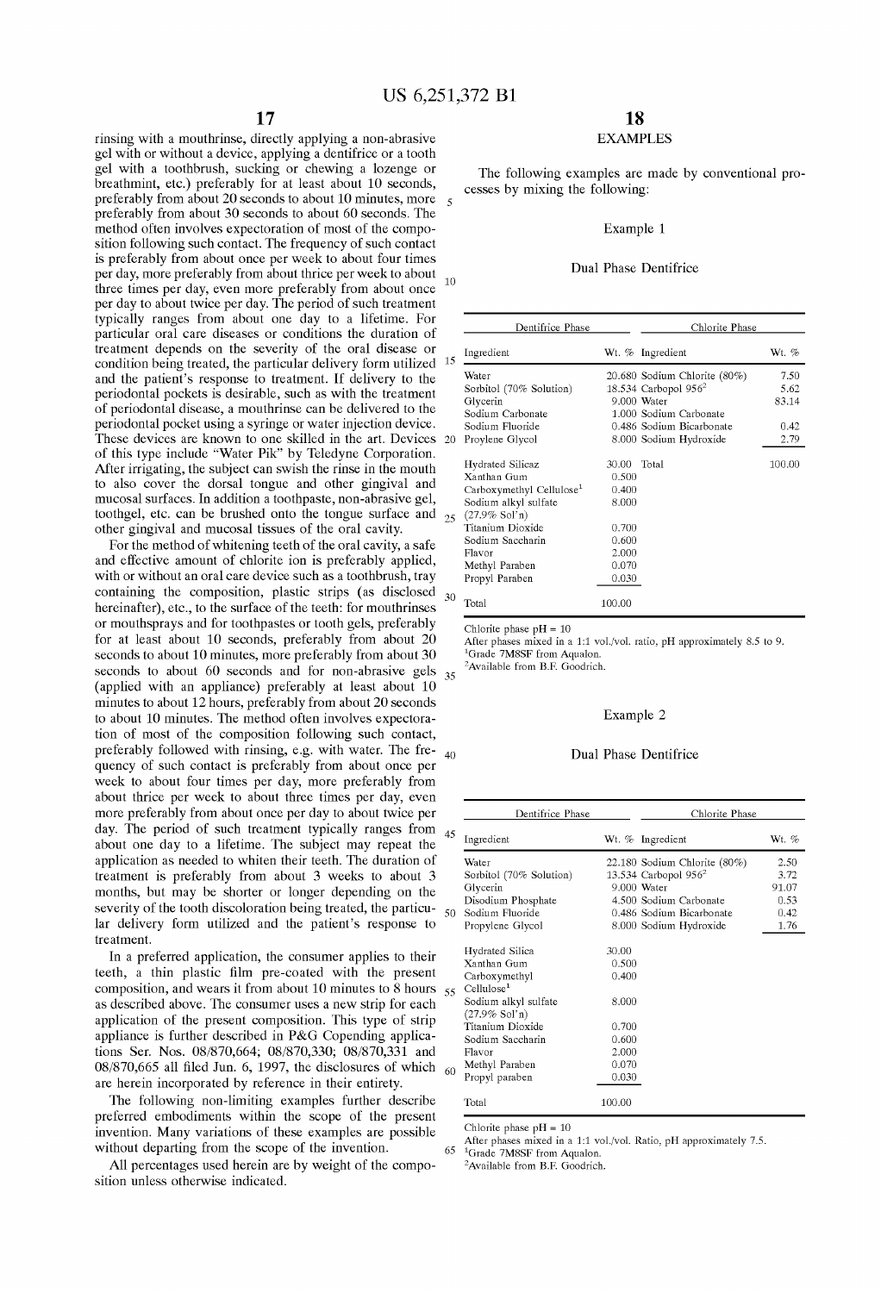rinsing with a mouthrinse, directly applying a non-abrasive gel with or without a device, applying a dentifrice or a tooth gel with a toothbrush, sucking or chewing a lozenge or breathmint, etc.) preferably for at least about 10 seconds, preferably from about 20 seconds to about 10 minutes, more  $\frac{1}{5}$ preferably from about 30 seconds to about 60 seconds. The method often involves expectoration of most of the composition following such contact. The frequency of such contact is preferably from about once per week to about four times per day, more preferably from about thrice per week to about  $_{10}$ three times per day, even more preferably from about once per day to about twice per day. The period of such treatment typically ranges from about one day to a lifetime. For particular oral care diseases or conditions the duration of treatment depends on the severity of the oral disease or condition being treated, the particular delivery form utilized 15 and the patient's response to treatment. If delivery to the periodontal pockets is desirable, such as with the treatment of periodontal disease, a mouthrinse can be delivered to the periodontal pocket using a syringe or water injection device. These devices are known to one skilled in the art. Devices 20 of this type include "Water Pik" by Teledyne Corporation. After irrigating, the subject can swish the rinse in the mouth to also cover the dorsal tongue and other gingival and mucosal surfaces. In addition a toothpaste, non-abrasive gel, toothgel, etc. can be brushed onto the tongue surface and 25 other gingival and mucosal tissues of the oral cavity.

For the method of whitening teeth of the oral cavity, a safe and effective amount of chlorite ion is preferably applied, with or without an oral care device such as a toothbrush, tray containing the composition, plastic strips (as disclosed  $_{30}$ hereinafter), etc., to the surface of the teeth: for mouthrinses or mouthsprays and for toothpastes or tooth gels, preferably for at least about 10 seconds, preferably from about 20 seconds to about 10 minutes, more preferably from about 30 seconds to about 60 seconds and for non-abrasive gels  $35$ (applied with an appliance) preferably at least about 10 minutes to about 12 hours, preferably from about 20 seconds to about 10 minutes. The method often involves expectoration of most of the composition following such contact, preferably followed with rinsing, e.g. with water. The fre- 40 quency of such contact is preferably from about once per week to about four times per day, more preferably from about thrice per week to about three times per day, even more preferably from about once per day to about twice per day. The period of such treatment typically ranges from  $\alpha$ about one day to a lifetime. The subject may repeat the application as needed to whiten their teeth. The duration of treatment is preferably from about 3 weeks to about 3 months, but may be shorter or longer depending on the severity of the tooth discoloration being treated, the particu- $\frac{1}{5}$ lar delivery form utilized and the patient's response to treatment.

In a preferred application, the consumer applies to their teeth, a thin plastic film pre-coated with the present composition, and wears it from about 10 minutes to 8 hours  $\zeta$ as described aboye. The consumer uses a new strip for each application of the present composition. This type of strip appliance is further described in P&G Copending applications Ser. Nos. 08/870,664; 08/870,330; 08/870,331 and 08/870,665 all filed Jun. 6, 1997, the disclosures of which  $\beta$ are herein incorporated by reference in their entirety.

The following non-limiting examples further describe preferred embodiments within the scope of the present invention. Many variations of these examples are possible without departing from the scope of the invention. After phases mixed in a 1:1 vol./vol. Ratio, pH approximately 7.5.

All percentages used herein are by weight of the composition unless otherwise indicated.

## **18**

## EXAMPLES

The following examples are made by conventional processes by mixing the following:

## Example 1

## Dual Phase Dentifrice

|                          | Dentifrice Phase                     |        | Chlorite Phase               |        |
|--------------------------|--------------------------------------|--------|------------------------------|--------|
|                          | Ingredient                           |        | Wt. % Ingredient             | Wt. %  |
|                          | Water                                |        | 20.680 Sodium Chlorite (80%) | 7.50   |
|                          | Sorbitol (70% Solution)              |        | 18.534 Carbopol $956^2$      | 5.62   |
|                          | Glycerin                             |        | 9.000 Water                  | 83.14  |
|                          | Sodium Carbonate                     |        | 1.000 Sodium Carbonate       |        |
|                          | Sodium Fluoride                      |        | 0.486 Sodium Bicarbonate     | 0.42   |
| J                        | Proylene Glycol                      |        | 8.000 Sodium Hydroxide       | 2.79   |
|                          | <b>Hydrated Silicaz</b>              | 30.00  | Total                        | 100.00 |
|                          | Xanthan Gum                          | 0.500  |                              |        |
|                          | Carboxymethyl Cellulose <sup>1</sup> | 0.400  |                              |        |
|                          | Sodium alkyl sulfate                 | 8.000  |                              |        |
| $\overline{\phantom{a}}$ | $(27.9\%$ Sol'n)<br>Titanium Dioxide |        |                              |        |
|                          |                                      | 0.700  |                              |        |
|                          | Sodium Saccharin                     | 0.600  |                              |        |
|                          | Flavor                               | 2.000  |                              |        |
|                          | Methyl Paraben                       | 0.070  |                              |        |
|                          | Propyl Paraben                       | 0.030  |                              |        |
|                          | Total                                | 100.00 |                              |        |

Chlorite phase  $pH = 10$ 

After phases mixed in a 1:1 vol./vol. ratio, pH appraximately 8.5 to 9. <sup>1</sup>Grade 7M8SF from Aqualon.

<sup>2</sup>Available from B.F. Goodrich.

#### Example 2

## Dual Phase Dentifrice

| Dentifrice Phase                         |        | Chlorite Phase               |         |
|------------------------------------------|--------|------------------------------|---------|
| Ingredient                               |        | Wt. % Ingredient             | Wt. $%$ |
| Water                                    |        | 22.180 Sodium Chlorite (80%) | 2.50    |
| Sorbitol (70% Solution)                  |        | 13.534 Carbopol $956^2$      | 3.72    |
| Glycerin                                 |        | 9.000 Water                  | 91.07   |
| Disodium Phosphate                       |        | 4.500 Sodium Carbonate       | 0.53    |
| Sodium Fluoride                          |        | 0.486 Sodium Bicarbonate     | 0.42    |
| Propylene Glycol                         |        | 8.000 Sodium Hydroxide       | 1.76    |
| <b>Hydrated Silica</b>                   | 30.00  |                              |         |
| Xanthan Gum                              | 0.500  |                              |         |
| Carboxymethyl<br>Cellulose <sup>1</sup>  | 0.400  |                              |         |
| Sodium alkyl sulfate<br>$(27.9\%$ Sol'n) | 8.000  |                              |         |
| Titanium Dioxide                         | 0.700  |                              |         |
| Sodium Saccharin                         | 0.600  |                              |         |
| Flavor                                   | 2.000  |                              |         |
| Methyl Paraben                           | 0.070  |                              |         |
| Propyl paraben                           | 0.030  |                              |         |
| Total                                    | 100.00 |                              |         |

Chlorite phase  $pH = 10$ 

<sup>1</sup>Grade 7M8SF from Aqualon.

 ${}^{2}$ Available from B.F. Goodrich.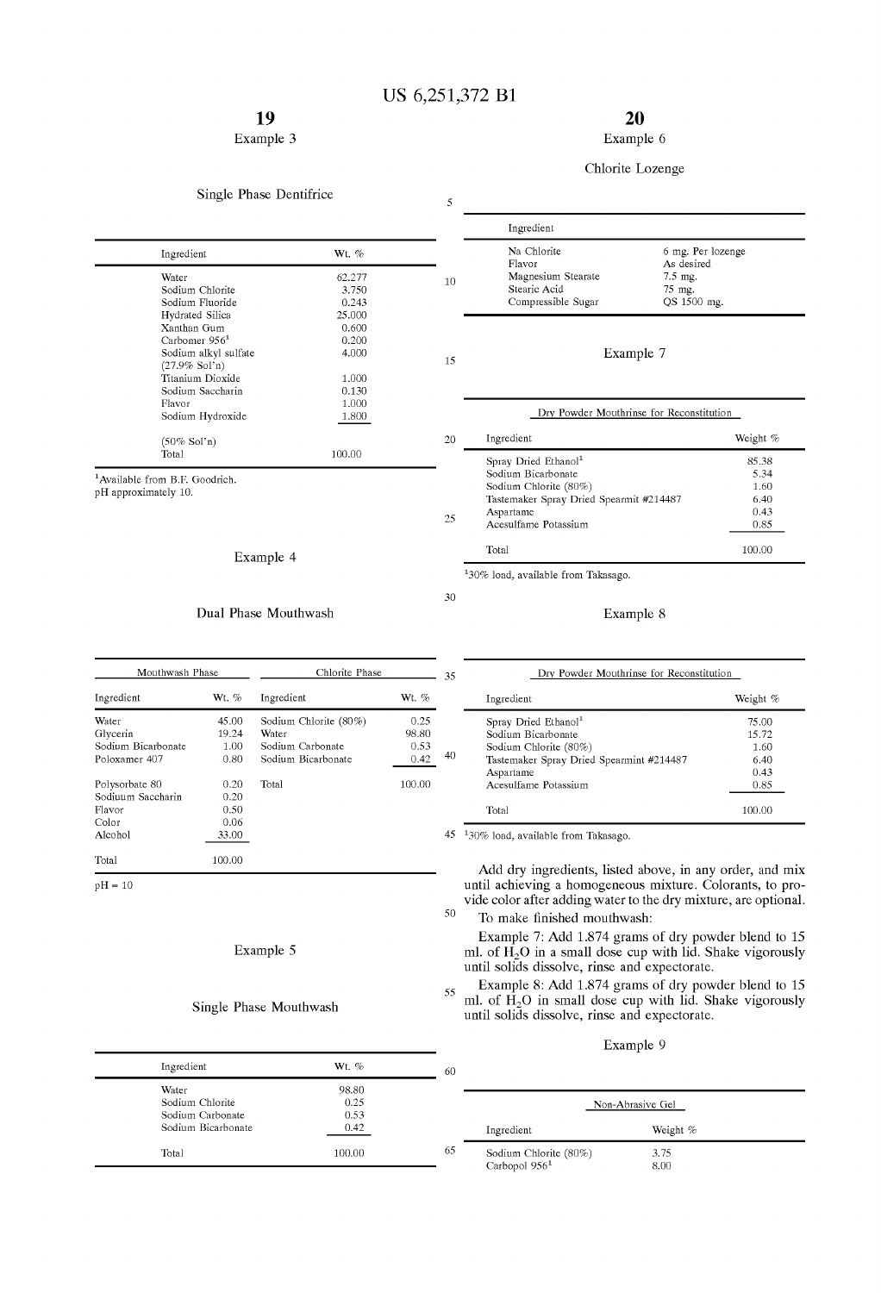## Example 3

## Single Phase Dentifrice

5

10

15

| Ingredient                | Wt. %  |  |
|---------------------------|--------|--|
| Water                     | 62.277 |  |
| Sodium Chlorite           | 3.750  |  |
| Sodium Fluoride           | 0.243  |  |
| Hydrated Silica           | 25,000 |  |
| Xanthan Gum               | 0.600  |  |
| Carbomer 956 <sup>1</sup> | 0.200  |  |
| Sodium alkyl sulfate      | 4.000  |  |
| $(27.9\%$ Sol'n)          |        |  |
| Titanium Dioxide          | 1.000  |  |
| Sodium Saccharin          | 0.130  |  |
| Flavor                    | 1.000  |  |
| Sodium Hydroxide          | 1.800  |  |
| $(50\%$ Sol'n)            |        |  |
| Total                     | 100.00 |  |
|                           |        |  |

<sup>1</sup>Available from B.F. Goodrich.

pH approximately 10.

## Example 4

## Dual Phase Mouthwash

| Mouthwash Phase    |        | Chlorite Phase        |         |  |
|--------------------|--------|-----------------------|---------|--|
| Ingredient         | Wt. %  | Ingredient            | Wt. $%$ |  |
| Water              | 45.00  | Sodium Chlorite (80%) | 0.25    |  |
| Glycerin           | 19.24  | Water                 | 98.80   |  |
| Sodium Bicarbonate | 1.00   | Sodium Carbonate      | 0.53    |  |
| Poloxamer 407      | 0.80   | Sodium Bicarbonate    | 0.42    |  |
| Polysorbate 80     | 0.20   | Total                 | 100.00  |  |
| Sodiuum Saccharin  | 0.20   |                       |         |  |
| Flavor             | 0.50   |                       |         |  |
| Color              | 0.06   |                       |         |  |
| Alcohol            | 33.00  |                       |         |  |
| Total              | 100.00 |                       |         |  |

 $pH = 10$ 

## Example 5

## Single Phase Mouthwash

| Ingredient                             | Wt. $%$       | 60 |
|----------------------------------------|---------------|----|
| Water<br>Sodium Chlorite               | 98.80<br>0.25 |    |
| Sodium Carbonate<br>Sodium Bicarbonate | 0.53<br>0.42  |    |
| Total                                  | 100.00        | 65 |

## **20**

Example 6

## Chlorite Lozenge

6 mg. Per lozenge As desired

7.5 mg. 75 mg. QS 1500 mg.

|  |  | Dry Powder Mouthrinse for Reconstitution |
|--|--|------------------------------------------|
|  |  |                                          |

Example 7

| 20 | Ingredient                                                                                                                                                      | Weight %                                      |
|----|-----------------------------------------------------------------------------------------------------------------------------------------------------------------|-----------------------------------------------|
| 25 | Spray Dried Ethanol <sup>1</sup><br>Sodium Bicarbonate<br>Sodium Chlorite (80%)<br>Tastemaker Spray Dried Spearmit #214487<br>Aspartame<br>Acesulfame Potassium | 85.38<br>5.34<br>1.60<br>6.40<br>0.43<br>0.85 |
|    | Total                                                                                                                                                           | 100.00                                        |
|    |                                                                                                                                                                 |                                               |

<sup>1</sup>30% load, available from Takasago.

Ingredient Na Chlorite Flavor

Magnesium Stearate Stearic Acid Compressible Sugar

## 30

35

40

50

25

Dry Powder Mouthrinse for Reconstitution

Example 8

| Ingredient                               | Weight % |
|------------------------------------------|----------|
| Spray Dried Ethanol <sup>1</sup>         | 75.00    |
| Sodium Bicarbonate                       | 15.72    |
| Sodium Chlorite (80%)                    | 1.60     |
| Tastemaker Spray Dried Spearmint #214487 | 6.40     |
| Aspartame                                | 0.43     |
| Acesulfame Potassium                     | 0.85     |
| Total                                    | 100.00   |

 $45$   $\,$   $^{130\%}$  load, available from Takasago.

Add dry ingredients, listed aboye, in any order, and mix until achieving a homogeneous mixture. Colorants, to provide color after adding water to the dry mixture, are optionaI.

To make finished mouthwash:

Example 7: Add 1.874 grams of dry powder blend to 15 ml. of  $\overline{H}_2O$  in a small dose cup with lid. Shake vigorously until solids dissolve, rinse and expectorate.

55 Example 8: Add 1.874 grams of dry powder blend to 15 ml. of  $\hat{H}_2O$  in small dose cup with lid. Shake vigorously until solids dissolve, rinse and expectorate.

| Example |  |  |
|---------|--|--|
|---------|--|--|

|    |                                                    | Non-Abrasive Gel |  |
|----|----------------------------------------------------|------------------|--|
|    | Ingredient                                         | Weight %         |  |
| 65 | Sodium Chlorite (80%)<br>Carbopol 956 <sup>1</sup> | 3.75<br>8.00     |  |